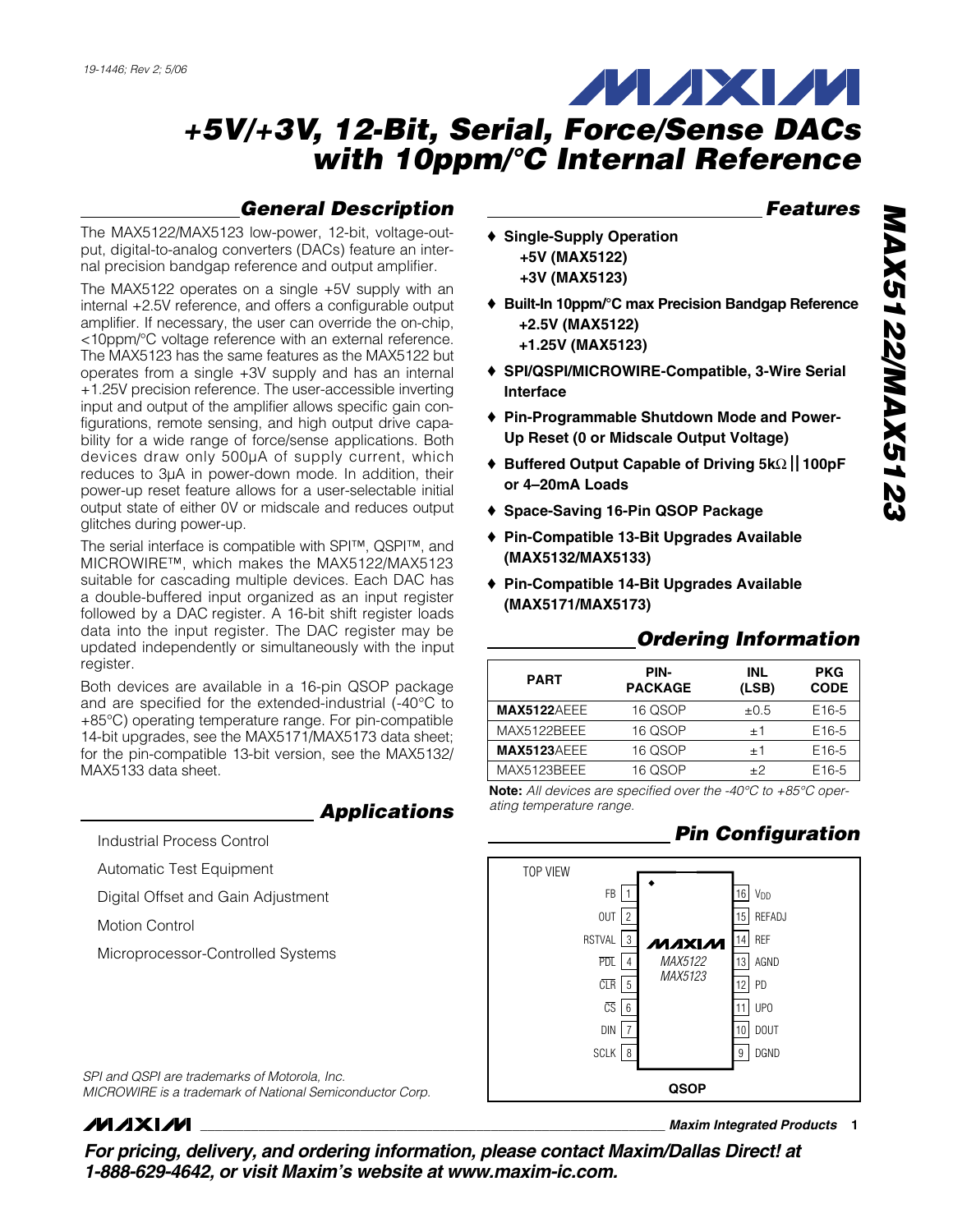# *General Description*

The MAX5122/MAX5123 low-power, 12-bit, voltage-output, digital-to-analog converters (DACs) feature an internal precision bandgap reference and output amplifier.

The MAX5122 operates on a single +5V supply with an internal +2.5V reference, and offers a configurable output amplifier. If necessary, the user can override the on-chip, <10ppm/°C voltage reference with an external reference. The MAX5123 has the same features as the MAX5122 but operates from a single +3V supply and has an internal +1.25V precision reference. The user-accessible inverting input and output of the amplifier allows specific gain configurations, remote sensing, and high output drive capability for a wide range of force/sense applications. Both devices draw only 500µA of supply current, which reduces to 3µA in power-down mode. In addition, their power-up reset feature allows for a user-selectable initial output state of either 0V or midscale and reduces output glitches during power-up.

The serial interface is compatible with SPI™, QSPI™, and MICROWIRE™, which makes the MAX5122/MAX5123 suitable for cascading multiple devices. Each DAC has a double-buffered input organized as an input register followed by a DAC register. A 16-bit shift register loads data into the input register. The DAC register may be updated independently or simultaneously with the input register.

Both devices are available in a 16-pin QSOP package and are specified for the extended-industrial (-40°C to +85°C) operating temperature range. For pin-compatible 14-bit upgrades, see the MAX5171/MAX5173 data sheet; for the pin-compatible 13-bit version, see the MAX5132/ MAX5133 data sheet.

## *Applications*

Industrial Process Control

Automatic Test Equipment

Digital Offset and Gain Adjustment

Motion Control

Microprocessor-Controlled Systems

## *Features*

- ♦ **Single-Supply Operation +5V (MAX5122) +3V (MAX5123)**
- ♦ **Built-In 10ppm/°C max Precision Bandgap Reference +2.5V (MAX5122) +1.25V (MAX5123)**
- ♦ **SPI/QSPI/MICROWIRE-Compatible, 3-Wire Serial Interface**
- ♦ **Pin-Programmable Shutdown Mode and Power-Up Reset (0 or Midscale Output Voltage)**
- ♦ **Buffered Output Capable of Driving 5k**Ω **100pF or 4–20mA Loads**
- ♦ **Space-Saving 16-Pin QSOP Package**
- ♦ **Pin-Compatible 13-Bit Upgrades Available (MAX5132/MAX5133)**
- ♦ **Pin-Compatible 14-Bit Upgrades Available (MAX5171/MAX5173)**

# *Ordering Information*

| <b>PART</b>        | PIN-<br><b>PACKAGE</b> | <b>INL</b><br>(LSB) | <b>PKG</b><br><b>CODE</b> |
|--------------------|------------------------|---------------------|---------------------------|
| <b>MAX5122AEEE</b> | 16 QSOP                | $\pm 0.5$           | E <sub>16-5</sub>         |
| MAX5122BEEE        | 16 QSOP                | $+1$                | E <sub>16-5</sub>         |
| <b>MAX5123AEEE</b> | 16 QSOP                | $+1$                | E <sub>16-5</sub>         |
| MAX5123BEEE        | 16 QSOP                | $+2$                | E <sub>16-5</sub>         |

**Note:** *All devices are specified over the -40°C to +85°C operating temperature range.*

# *Pin Configuration*



*SPI and QSPI are trademarks of Motorola, Inc. MICROWIRE is a trademark of National Semiconductor Corp.*

# **MAXIM**

**\_\_\_\_\_\_\_\_\_\_\_\_\_\_\_\_\_\_\_\_\_\_\_\_\_\_\_\_\_\_\_\_\_\_\_\_\_\_\_\_\_\_\_\_\_\_\_\_\_\_\_\_\_\_\_\_\_\_\_\_\_\_\_\_** *Maxim Integrated Products* **1**

*For pricing, delivery, and ordering information, please contact Maxim/Dallas Direct! at 1-888-629-4642, or visit Maxim's website at www.maxim-ic.com.*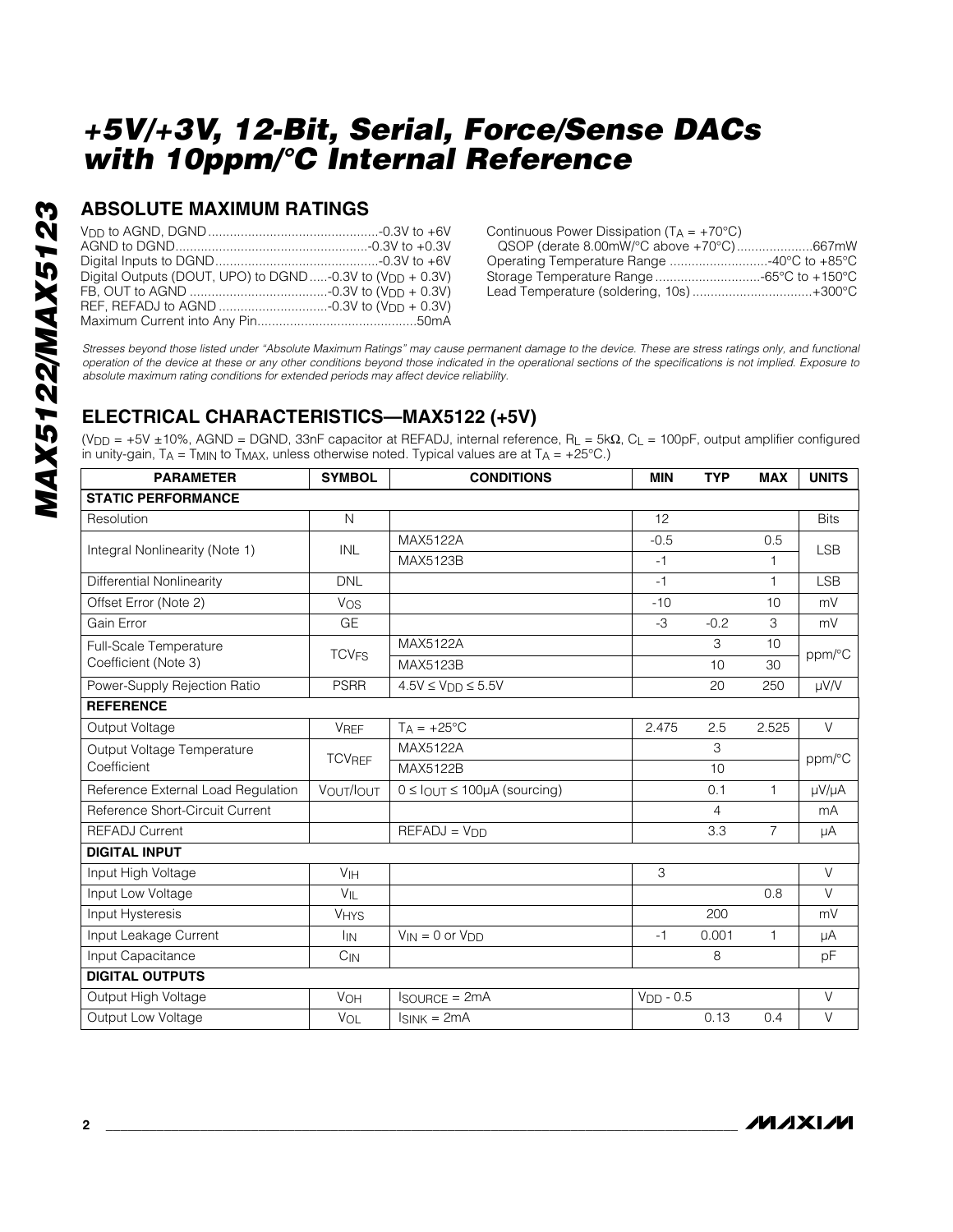## **ABSOLUTE MAXIMUM RATINGS**

| Digital Outputs (DOUT, UPO) to DGND -0.3V to (V <sub>DD</sub> + 0.3V) |  |
|-----------------------------------------------------------------------|--|
|                                                                       |  |
|                                                                       |  |
|                                                                       |  |

| QSOP (derate 8.00mW/°C above +70°C)667mW  |
|-------------------------------------------|
| Operating Temperature Range 40°C to +85°C |
| Storage Temperature Range 65°C to +150°C  |
| Lead Temperature (soldering, 10s)+300°C   |
|                                           |

*Stresses beyond those listed under "Absolute Maximum Ratings" may cause permanent damage to the device. These are stress ratings only, and functional operation of the device at these or any other conditions beyond those indicated in the operational sections of the specifications is not implied. Exposure to absolute maximum rating conditions for extended periods may affect device reliability.*

# **ELECTRICAL CHARACTERISTICS—MAX5122 (+5V)**

 $(V_{DD} = +5V \pm 10\%$ , AGND = DGND, 33nF capacitor at REFADJ, internal reference, R<sub>L</sub> = 5k $\Omega$ , C<sub>L</sub> = 100pF, output amplifier configured in unity-gain, TA = T<sub>MIN</sub> to T<sub>MAX</sub>, unless otherwise noted. Typical values are at T<sub>A</sub> = +25°C.)

| <b>PARAMETER</b>                   | <b>SYMBOL</b>           | <b>CONDITIONS</b>                            | <b>MIN</b>  | <b>TYP</b> | <b>MAX</b>     | <b>UNITS</b> |  |
|------------------------------------|-------------------------|----------------------------------------------|-------------|------------|----------------|--------------|--|
| <b>STATIC PERFORMANCE</b>          |                         |                                              |             |            |                |              |  |
| Resolution                         | $\mathsf{N}$            |                                              | 12          |            |                | <b>Bits</b>  |  |
|                                    | INL                     | MAX5122A                                     | $-0.5$      |            | 0.5            | <b>LSB</b>   |  |
| Integral Nonlinearity (Note 1)     |                         | MAX5123B                                     | $-1$        |            | $\mathbf{1}$   |              |  |
| Differential Nonlinearity          | <b>DNL</b>              |                                              | $-1$        |            | $\mathbf{1}$   | <b>LSB</b>   |  |
| Offset Error (Note 2)              | Vos                     |                                              | $-10$       |            | 10             | mV           |  |
| Gain Error                         | <b>GE</b>               |                                              | -3          | $-0.2$     | 3              | mV           |  |
| Full-Scale Temperature             | <b>TCV<sub>FS</sub></b> | MAX5122A                                     |             | 3          | 10             | ppm/°C       |  |
| Coefficient (Note 3)               |                         | MAX5123B                                     |             | 10         | 30             |              |  |
| Power-Supply Rejection Ratio       | <b>PSRR</b>             | $4.5V \leq VDD \leq 5.5V$                    |             | 20         | 250            | µV/V         |  |
| <b>REFERENCE</b>                   |                         |                                              |             |            |                |              |  |
| Output Voltage<br><b>VREF</b>      |                         | $T_A = +25$ °C                               | 2.475       | 2.5        | 2.525          | $\vee$       |  |
| Output Voltage Temperature         | <b>TCVREF</b>           | MAX5122A                                     |             | 3          |                | ppm/°C       |  |
| Coefficient                        |                         | MAX5122B                                     |             | 10         |                |              |  |
| Reference External Load Regulation | VOUT/IOUT               | $0 \leq$ $I_{OUT} \leq 100 \mu A$ (sourcing) |             | 0.1        | $\mathbf{1}$   | µV/µA        |  |
| Reference Short-Circuit Current    |                         |                                              |             | 4          |                | mA           |  |
| <b>REFADJ Current</b>              |                         | $REFADJ = VDD$                               |             | 3.3        | $\overline{7}$ | μA           |  |
| <b>DIGITAL INPUT</b>               |                         |                                              |             |            |                |              |  |
| Input High Voltage                 | V <sub>IH</sub>         |                                              | 3           |            |                | $\vee$       |  |
| Input Low Voltage                  | $V_{\parallel}$         |                                              |             |            | 0.8            | $\vee$       |  |
| Input Hysteresis                   | <b>VHYS</b>             |                                              |             | 200        |                | mV           |  |
| Input Leakage Current              | <b>I<sub>IN</sub></b>   | $V_{IN} = 0$ or $V_{DD}$                     | $-1$        | 0.001      | 1              | μA           |  |
| Input Capacitance                  | $C_{IN}$                |                                              |             | 8          |                | pF           |  |
| <b>DIGITAL OUTPUTS</b>             |                         |                                              |             |            |                |              |  |
| Output High Voltage                | VOH                     | <b>ISOURCE = 2mA</b>                         | $VDD - 0.5$ |            |                | $\vee$       |  |
| Output Low Voltage                 | VOL                     | $I_{SINK} = 2mA$                             |             | 0.13       | 0.4            | $\vee$       |  |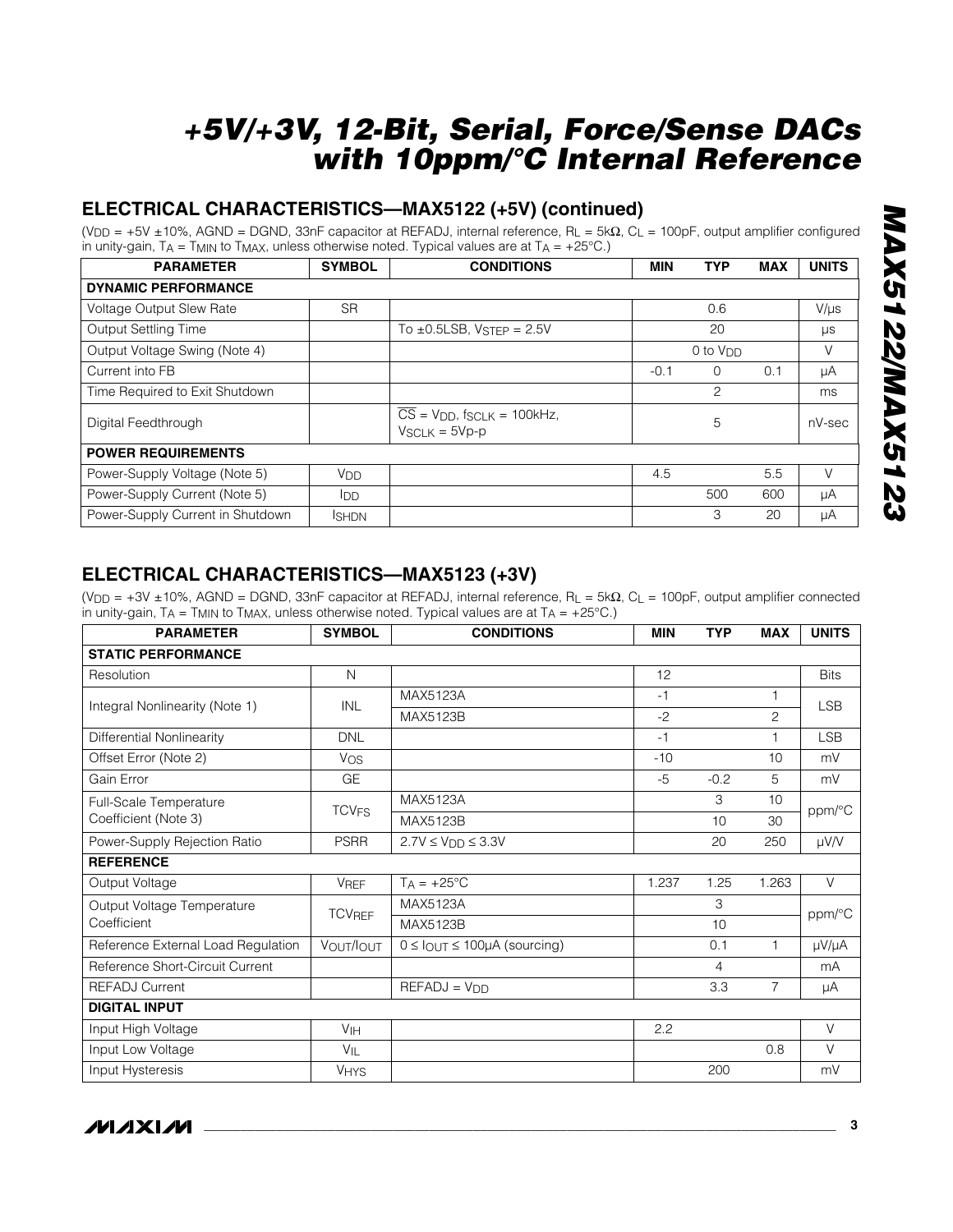# **ELECTRICAL CHARACTERISTICS—MAX5122 (+5V) (continued)**

(V<sub>DD</sub> = +5V ±10%, AGND = DGND, 33nF capacitor at REFADJ, internal reference, R<sub>L</sub> = 5k $\Omega$ , C<sub>L</sub> = 100pF, output amplifier configured in unity-gain,  $TA = T$ MIN to  $T$ MAX, unless otherwise noted. Typical values are at  $TA = +25^{\circ}C$ .)

| <b>PARAMETER</b>                 | <b>SYMBOL</b>         | <b>CONDITIONS</b>                                                                     | <b>MIN</b>           | <b>TYP</b> | <b>MAX</b> | <b>UNITS</b> |
|----------------------------------|-----------------------|---------------------------------------------------------------------------------------|----------------------|------------|------------|--------------|
| <b>DYNAMIC PERFORMANCE</b>       |                       |                                                                                       |                      |            |            |              |
| <b>Voltage Output Slew Rate</b>  | <b>SR</b>             |                                                                                       |                      | 0.6        |            | $V/\mu s$    |
| <b>Output Settling Time</b>      |                       | To $\pm$ 0.5LSB, VSTEP = 2.5V                                                         |                      | 20         |            |              |
| Output Voltage Swing (Note 4)    |                       |                                                                                       | 0 to V <sub>DD</sub> |            |            | V            |
| Current into FB                  |                       |                                                                                       | $-0.1$               | $\Omega$   | 0.1        | μA           |
| Time Required to Exit Shutdown   |                       |                                                                                       |                      | 2          |            | ms           |
| Digital Feedthrough              |                       | $\overline{CS}$ = V <sub>DD</sub> , f <sub>SCLK</sub> = 100kHz,<br>$V_{SCLK} = 5Vp-p$ |                      | 5          |            | nV-sec       |
| <b>POWER REQUIREMENTS</b>        |                       |                                                                                       |                      |            |            |              |
| Power-Supply Voltage (Note 5)    | <b>V<sub>DD</sub></b> |                                                                                       | 4.5                  |            | 5.5        | V            |
| Power-Supply Current (Note 5)    | lop.                  |                                                                                       |                      | 500        | 600        | μA           |
| Power-Supply Current in Shutdown | <b>ISHDN</b>          |                                                                                       |                      | 3          | 20         | μA           |

## **ELECTRICAL CHARACTERISTICS—MAX5123 (+3V)**

(VDD = +3V ±10%, AGND = DGND, 33nF capacitor at REFADJ, internal reference, RL = 5kΩ, CL = 100pF, output amplifier connected in unity-gain,  $T_A = T_{MIN}$  to  $T_{MAX}$ , unless otherwise noted. Typical values are at  $T_A = +25^{\circ}C$ .)

| <b>PARAMETER</b>                            | <b>SYMBOL</b>           | <b>CONDITIONS</b>                     | <b>MIN</b> | <b>TYP</b> | <b>MAX</b>     | <b>UNITS</b> |  |
|---------------------------------------------|-------------------------|---------------------------------------|------------|------------|----------------|--------------|--|
| <b>STATIC PERFORMANCE</b>                   |                         |                                       |            |            |                |              |  |
| Resolution                                  | $\mathsf{N}$            |                                       | 12         |            |                | <b>Bits</b>  |  |
| Integral Nonlinearity (Note 1)              | <b>INL</b>              | MAX5123A                              | $-1$       |            | 1              |              |  |
|                                             |                         | MAX5123B                              | $-2$       |            | $\overline{c}$ | <b>LSB</b>   |  |
| Differential Nonlinearity                   | <b>DNL</b>              |                                       | $-1$       |            | $\mathbf{1}$   | <b>LSB</b>   |  |
| Offset Error (Note 2)                       | Vos                     |                                       | $-10$      |            | 10             | mV           |  |
| Gain Error                                  | <b>GE</b>               |                                       | $-5$       | $-0.2$     | 5              | mV           |  |
| <b>Full-Scale Temperature</b>               | <b>TCV<sub>FS</sub></b> | MAX5123A                              |            | 3          | 10             | ppm/°C       |  |
| Coefficient (Note 3)                        |                         | MAX5123B                              |            | 10         | 30             |              |  |
| Power-Supply Rejection Ratio<br><b>PSRR</b> |                         | $2.7V \leq VDD \leq 3.3V$             |            | 20         | 250            | $\mu V/V$    |  |
| <b>REFERENCE</b>                            |                         |                                       |            |            |                |              |  |
| Output Voltage                              | <b>VREF</b>             | $T_A = +25^{\circ}C$                  | 1.237      | 1.25       | 1.263          | $\vee$       |  |
| Output Voltage Temperature                  | <b>TCVREF</b>           | <b>MAX5123A</b>                       |            | 3          |                | ppm/°C       |  |
| Coefficient                                 |                         | MAX5123B                              |            | 10         |                |              |  |
| Reference External Load Regulation          | VOUT/IOUT               | $0 \leq$ lout $\leq$ 100µA (sourcing) |            | 0.1        | $\mathbf{1}$   | µV/µA        |  |
| Reference Short-Circuit Current             |                         |                                       |            | 4          |                | mA           |  |
| <b>REFADJ Current</b>                       |                         | $REFADJ = VDD$                        |            | 3.3        | $\overline{7}$ | μA           |  |
| <b>DIGITAL INPUT</b>                        |                         |                                       |            |            |                |              |  |
| Input High Voltage<br>V <sub>IH</sub>       |                         |                                       | 2.2        |            |                | $\vee$       |  |
| Input Low Voltage                           | VIL                     |                                       |            |            | 0.8            | $\vee$       |  |
| Input Hysteresis                            | <b>VHYS</b>             |                                       |            | 200        |                | mV           |  |

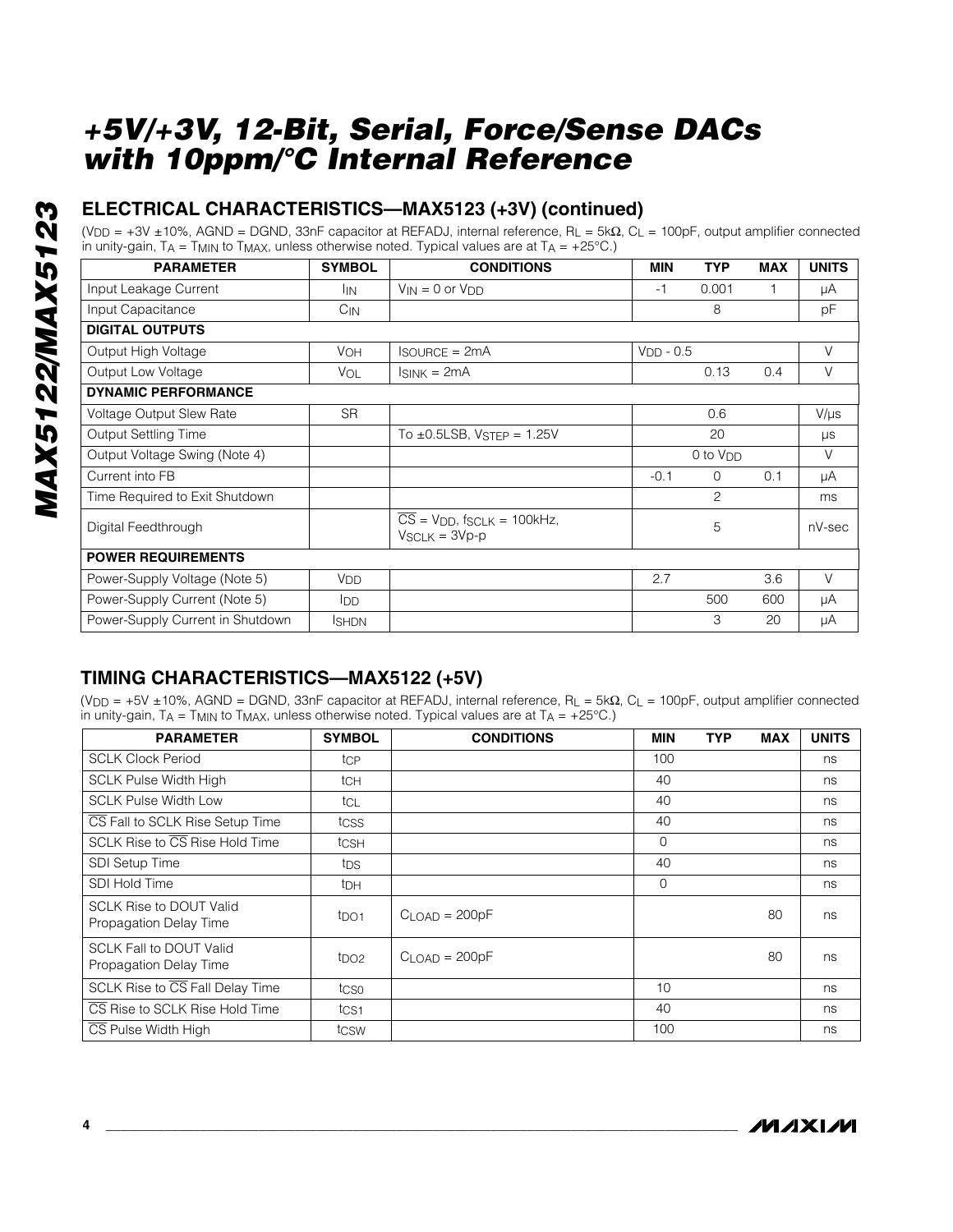## **ELECTRICAL CHARACTERISTICS—MAX5123 (+3V) (continued)**

(VDD = +3V ±10%, AGND = DGND, 33nF capacitor at REFADJ, internal reference, RL = 5kΩ, CL = 100pF, output amplifier connected in unity-gain,  $TA = TMIN$  to  $TMAX$ , unless otherwise noted. Typical values are at  $TA = +25^{\circ}C$ .)

| <b>PARAMETER</b>                 | <b>SYMBOL</b>         |                                                                                       | <b>MIN</b>  | <b>TYP</b>    | <b>MAX</b> | <b>UNITS</b> |  |
|----------------------------------|-----------------------|---------------------------------------------------------------------------------------|-------------|---------------|------------|--------------|--|
| Input Leakage Current            | IIN.                  | $V_{IN} = 0$ or $V_{DD}$                                                              | -1          | 0.001         |            | μA           |  |
| Input Capacitance                | $C_{IN}$              |                                                                                       |             | 8             |            | pF           |  |
| <b>DIGITAL OUTPUTS</b>           |                       |                                                                                       |             |               |            |              |  |
| Output High Voltage              | <b>VOH</b>            | <b>ISOURCE = 2mA</b>                                                                  | $VDD - 0.5$ |               |            | V            |  |
| Output Low Voltage               | VOL                   | Isınk = 2mA                                                                           |             | 0.13          | 0.4        | $\vee$       |  |
| <b>DYNAMIC PERFORMANCE</b>       |                       |                                                                                       |             |               |            |              |  |
| Voltage Output Slew Rate         | <b>SR</b>             |                                                                                       |             | 0.6           |            | $V/\mu s$    |  |
| Output Settling Time             |                       | To $\pm$ 0.5LSB, VSTEP = 1.25V                                                        |             | 20            |            | $\mu s$      |  |
| Output Voltage Swing (Note 4)    |                       |                                                                                       |             | 0 to $V_{DD}$ |            | V            |  |
| Current into FB                  |                       |                                                                                       | $-0.1$      | $\Omega$      | 0.1        | μA           |  |
| Time Required to Exit Shutdown   |                       |                                                                                       |             | 2             |            | ms           |  |
| Digital Feedthrough              |                       | $\overline{CS}$ = V <sub>DD</sub> , f <sub>SCLK</sub> = 100kHz,<br>$V_{SCLK} = 3Vp-p$ |             | 5             |            | nV-sec       |  |
| <b>POWER REQUIREMENTS</b>        |                       |                                                                                       |             |               |            |              |  |
| Power-Supply Voltage (Note 5)    | <b>V<sub>DD</sub></b> |                                                                                       | 2.7         |               | 3.6        | $\vee$       |  |
| Power-Supply Current (Note 5)    | <b>I</b> DD           |                                                                                       |             | 500           | 600        | μA           |  |
| Power-Supply Current in Shutdown | <b>I</b> SHDN         |                                                                                       |             | 3             | 20         | μA           |  |

# **TIMING CHARACTERISTICS—MAX5122 (+5V)**

(VDD = +5V ±10%, AGND = DGND, 33nF capacitor at REFADJ, internal reference, RL = 5kΩ, CL = 100pF, output amplifier connected in unity-gain,  $T_A = T_{MIN}$  to  $T_{MAX}$ , unless otherwise noted. Typical values are at  $T_A = +25^{\circ}C$ .)

| <b>PARAMETER</b>                                         | <b>SYMBOL</b>    | <b>CONDITIONS</b> | <b>MIN</b>  | <b>TYP</b> | <b>MAX</b> | <b>UNITS</b> |
|----------------------------------------------------------|------------------|-------------------|-------------|------------|------------|--------------|
| <b>SCLK Clock Period</b>                                 | tcp              |                   | 100         |            |            | ns           |
| <b>SCLK Pulse Width High</b>                             | tch              |                   | 40          |            |            | ns           |
| <b>SCLK Pulse Width Low</b>                              | tcl              |                   | 40          |            |            | ns           |
| CS Fall to SCLK Rise Setup Time                          | tcss             |                   | 40          |            |            | ns           |
| SCLK Rise to $\overline{\text{CS}}$ Rise Hold Time       | tcsh             |                   | $\mathbf 0$ |            |            | ns           |
| <b>SDI Setup Time</b>                                    | tps              |                   | 40          |            |            | ns           |
| <b>SDI Hold Time</b>                                     | t <sub>DH</sub>  |                   | $\mathbf 0$ |            |            | ns           |
| <b>SCLK Rise to DOUT Valid</b><br>Propagation Delay Time | t <sub>DO1</sub> | $CLOAD = 200pF$   |             |            | 80         | ns           |
| <b>SCLK Fall to DOUT Valid</b><br>Propagation Delay Time | t <sub>DO2</sub> | $CLOAD = 200pF$   |             |            | 80         | ns           |
| SCLK Rise to CS Fall Delay Time                          | tcso             |                   | 10          |            |            | ns           |
| CS Rise to SCLK Rise Hold Time                           | t <sub>CS1</sub> |                   | 40          |            |            | ns           |
| CS Pulse Width High                                      | tcsw             |                   | 100         |            |            | ns           |

**MAXM**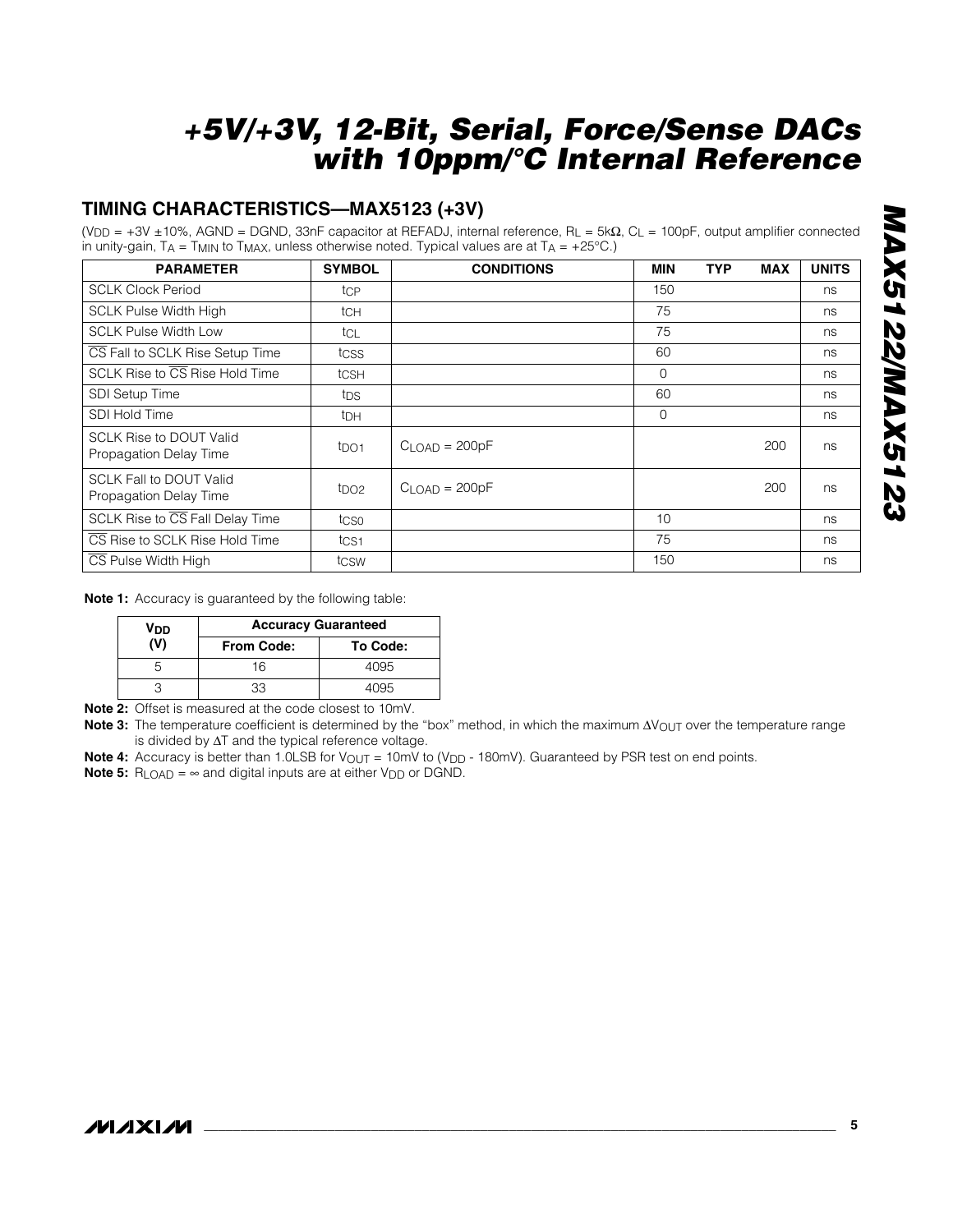## **TIMING CHARACTERISTICS—MAX5123 (+3V)**

(VDD = +3V ±10%, AGND = DGND, 33nF capacitor at REFADJ, internal reference, RL = 5kΩ, CL = 100pF, output amplifier connected in unity-gain,  $TA = TMIN$  to  $TMAX$ , unless otherwise noted. Typical values are at  $TA = +25^{\circ}C$ .)

| <b>PARAMETER</b>                                         | <b>SYMBOL</b>    | <b>CONDITIONS</b>  | MIN         | TYP | <b>MAX</b> | <b>UNITS</b> |
|----------------------------------------------------------|------------------|--------------------|-------------|-----|------------|--------------|
| <b>SCLK Clock Period</b>                                 | tcp              |                    | 150         |     |            | ns           |
| <b>SCLK Pulse Width High</b>                             | tch              |                    | 75          |     |            | ns           |
| <b>SCLK Pulse Width Low</b>                              | tcl              |                    | 75          |     |            | ns           |
| CS Fall to SCLK Rise Setup Time                          | tcss             |                    | 60          |     |            | ns           |
| SCLK Rise to CS Rise Hold Time                           | tcs <sub>H</sub> |                    | 0           |     |            | ns           |
| <b>SDI Setup Time</b>                                    | tps              |                    | 60          |     |            | ns           |
| SDI Hold Time                                            | <sup>t</sup> DH  |                    | $\mathbf 0$ |     |            | ns           |
| <b>SCLK Rise to DOUT Valid</b><br>Propagation Delay Time | t <sub>DO1</sub> | $C$ LOAD = $200pF$ |             |     | 200        | ns           |
| <b>SCLK Fall to DOUT Valid</b><br>Propagation Delay Time | t <sub>DO2</sub> | $CLOAD = 200pF$    |             |     | 200        | ns           |
| SCLK Rise to CS Fall Delay Time                          | tcso             |                    | 10          |     |            | ns           |
| CS Rise to SCLK Rise Hold Time                           | t <sub>CS1</sub> |                    | 75          |     |            | ns           |
| CS Pulse Width High                                      | tcsw             |                    | 150         |     |            | ns           |

**Note 1:** Accuracy is guaranteed by the following table:

| <b>V<sub>DD</sub></b> | <b>Accuracy Guaranteed</b> |          |  |  |  |
|-----------------------|----------------------------|----------|--|--|--|
|                       | <b>From Code:</b>          | To Code: |  |  |  |
|                       | 16                         | 4095     |  |  |  |
|                       |                            | 4095     |  |  |  |

**Note 2:** Offset is measured at the code closest to 10mV.

Note 3: The temperature coefficient is determined by the "box" method, in which the maximum ∆V<sub>OUT</sub> over the temperature range is divided by ∆T and the typical reference voltage.

**Note 4:** Accuracy is better than 1.0LSB for V<sub>OUT</sub> = 10mV to (V<sub>DD</sub> - 180mV). Guaranteed by PSR test on end points.

**Note 5:**  $R_{\text{LOAD}} = \infty$  and digital inputs are at either  $V_{\text{DD}}$  or DGND.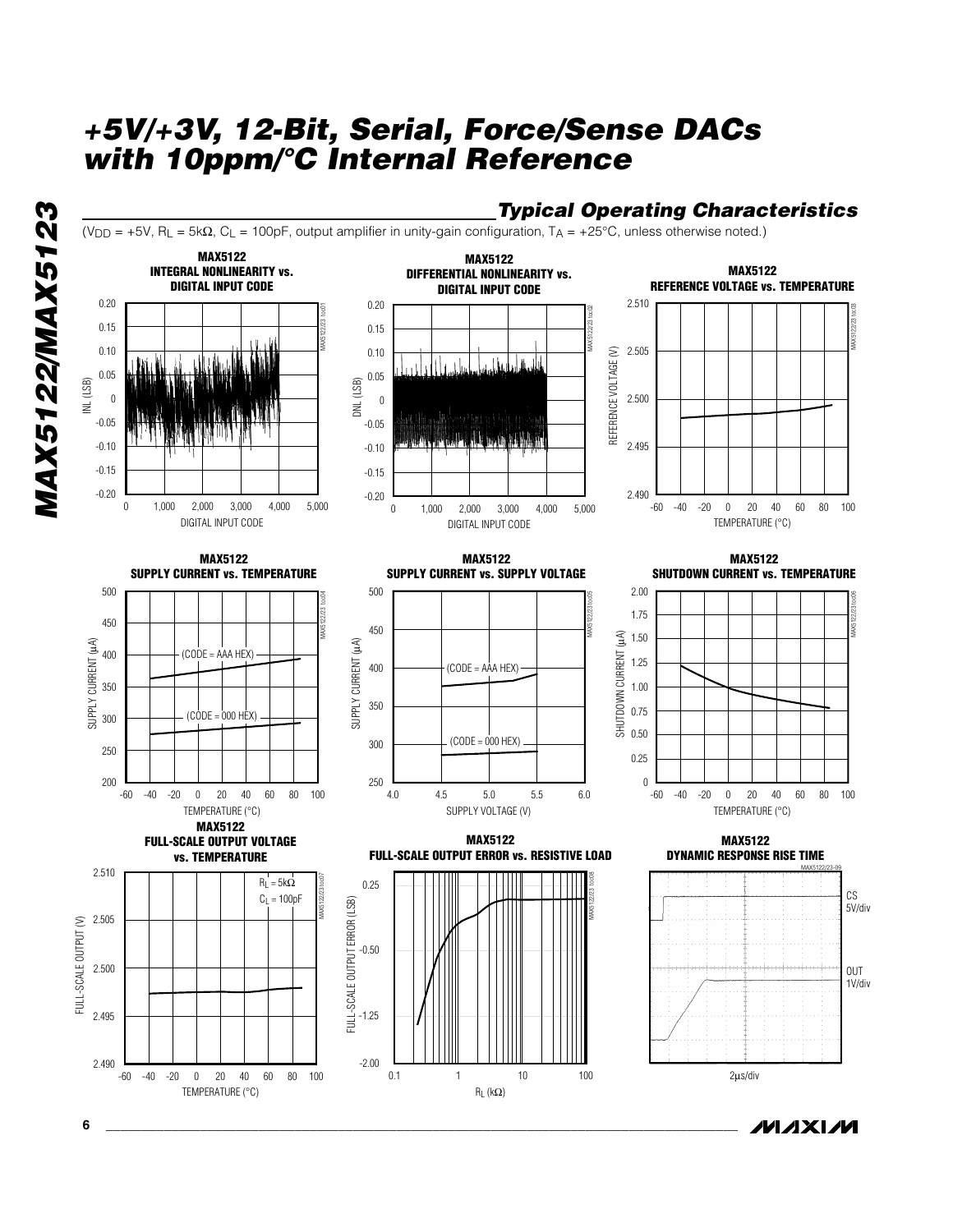

ハハメレハ

*MAX5122/MAX5123*

**MAX5122/MAX5123**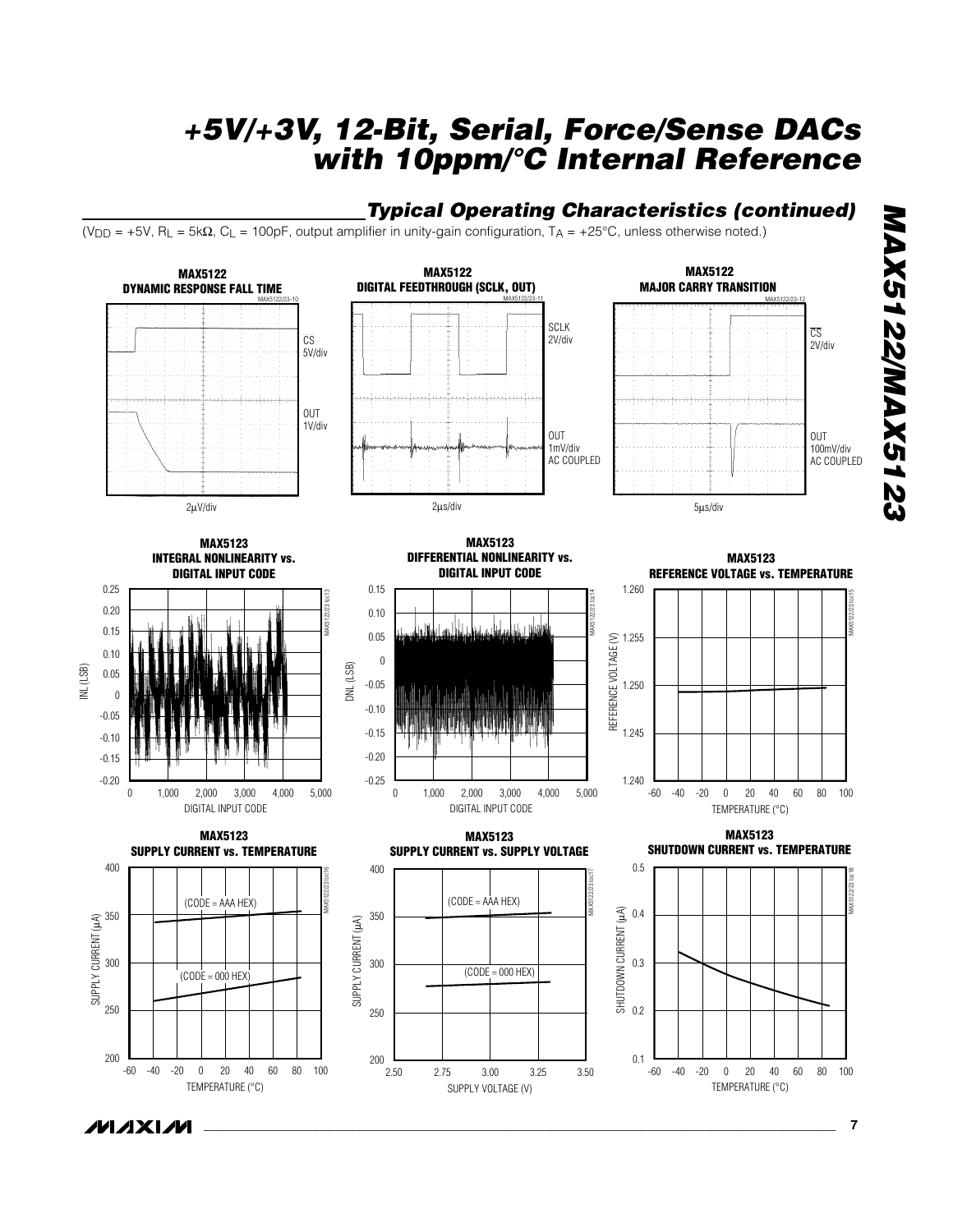## *Typical Operating Characteristics (continued)*

(VDD = +5V, RL = 5kΩ, CL = 100pF, output amplifier in unity-gain configuration, TA = +25°C, unless otherwise noted.)



/VI/IXI/V

*MAX5122/MAX5123*

**MAX5122/MAX5123**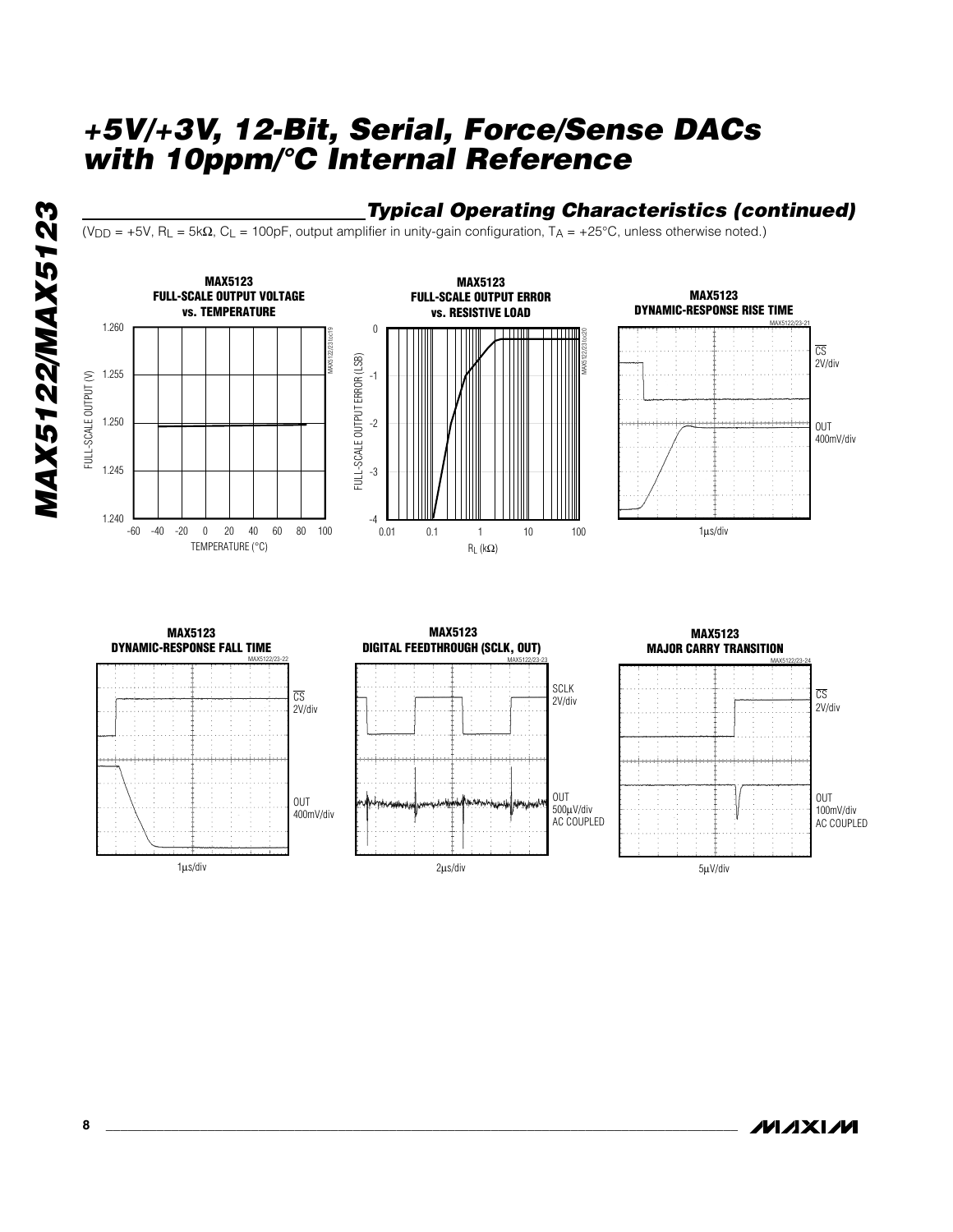# **MAX5122/MAX5123** *MAX5122/MAX5123*

## *Typical Operating Characteristics (continued)*

(VDD = +5V, RL = 5kΩ, CL = 100pF, output amplifier in unity-gain configuration, TA = +25°C, unless otherwise noted.)

RL (kΩ)





#### CS 2V/div OUT 400mV/div 1µs/div **MAX5123 DYNAMIC-RESPONSE FALL TIME** MAX5122/23-22 SCLK 2V/div OUT 500µV/div AC COUPLED 2µs/div **MAX5123 DIGITAL FEEDTHROUGH (SCLK, OUT)** MAX5122/23-23

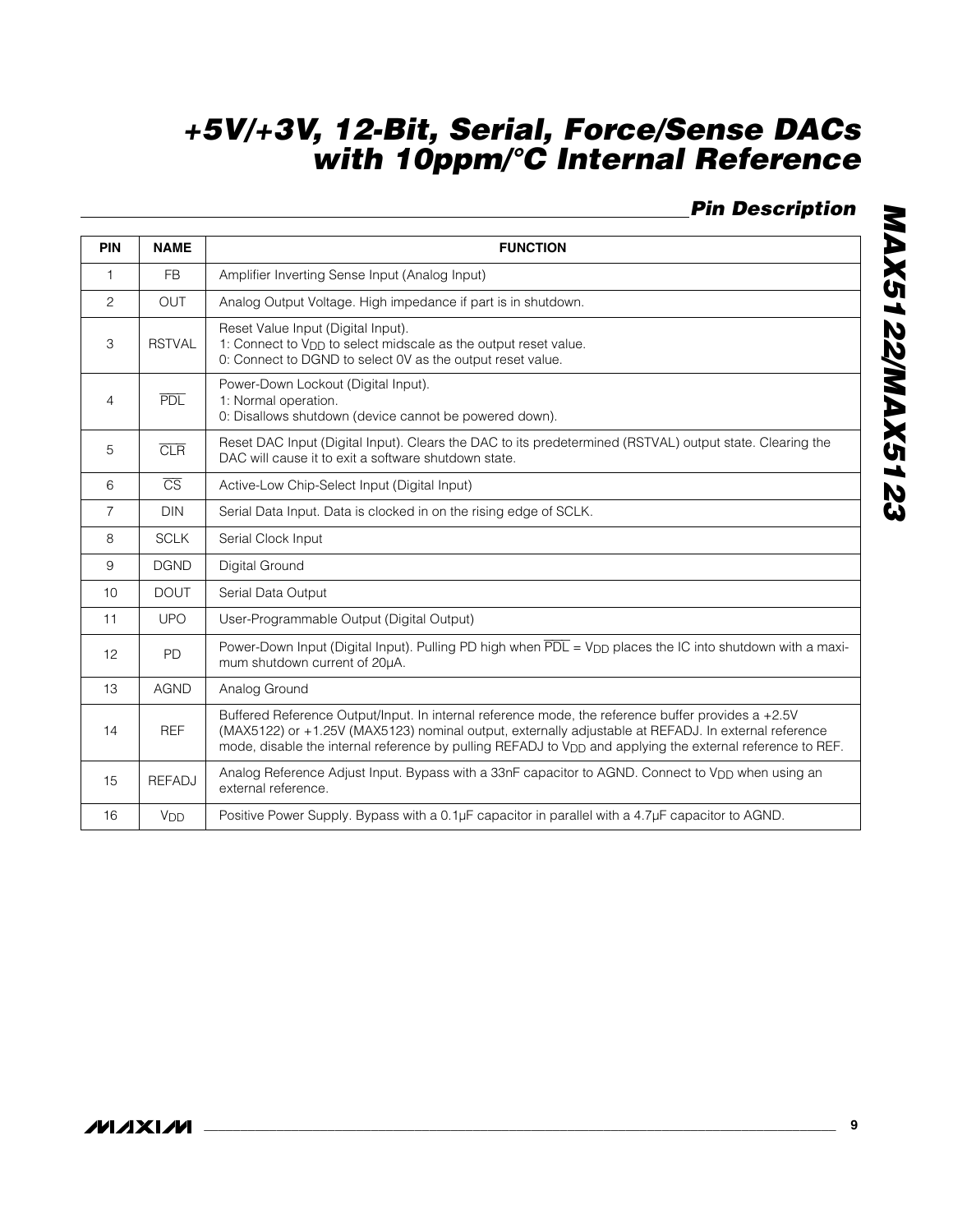# *Pin Description*

| <b>PIN</b>     | <b>NAME</b>            | <b>FUNCTION</b>                                                                                                                                                                                                                                                                                                                     |  |  |  |  |  |
|----------------|------------------------|-------------------------------------------------------------------------------------------------------------------------------------------------------------------------------------------------------------------------------------------------------------------------------------------------------------------------------------|--|--|--|--|--|
| $\mathbf{1}$   | <b>FB</b>              | Amplifier Inverting Sense Input (Analog Input)                                                                                                                                                                                                                                                                                      |  |  |  |  |  |
| $\overline{c}$ | <b>OUT</b>             | Analog Output Voltage. High impedance if part is in shutdown.                                                                                                                                                                                                                                                                       |  |  |  |  |  |
| 3              | <b>RSTVAL</b>          | Reset Value Input (Digital Input).<br>1: Connect to V <sub>DD</sub> to select midscale as the output reset value.<br>0: Connect to DGND to select 0V as the output reset value.                                                                                                                                                     |  |  |  |  |  |
| $\overline{4}$ | <b>PDL</b>             | Power-Down Lockout (Digital Input).<br>1: Normal operation.<br>0: Disallows shutdown (device cannot be powered down).                                                                                                                                                                                                               |  |  |  |  |  |
| 5              | CLR                    | Reset DAC Input (Digital Input). Clears the DAC to its predetermined (RSTVAL) output state. Clearing the<br>DAC will cause it to exit a software shutdown state.                                                                                                                                                                    |  |  |  |  |  |
| 6              | $\overline{\text{CS}}$ | Active-Low Chip-Select Input (Digital Input)                                                                                                                                                                                                                                                                                        |  |  |  |  |  |
| 7              | <b>DIN</b>             | Serial Data Input. Data is clocked in on the rising edge of SCLK.                                                                                                                                                                                                                                                                   |  |  |  |  |  |
| 8              | <b>SCLK</b>            | Serial Clock Input                                                                                                                                                                                                                                                                                                                  |  |  |  |  |  |
| 9              | <b>DGND</b>            | Digital Ground                                                                                                                                                                                                                                                                                                                      |  |  |  |  |  |
| 10             | <b>DOUT</b>            | Serial Data Output                                                                                                                                                                                                                                                                                                                  |  |  |  |  |  |
| 11             | <b>UPO</b>             | User-Programmable Output (Digital Output)                                                                                                                                                                                                                                                                                           |  |  |  |  |  |
| 12             | <b>PD</b>              | Power-Down Input (Digital Input). Pulling PD high when PDL = V <sub>DD</sub> places the IC into shutdown with a maxi-<br>mum shutdown current of 20µA.                                                                                                                                                                              |  |  |  |  |  |
| 13             | <b>AGND</b>            | Analog Ground                                                                                                                                                                                                                                                                                                                       |  |  |  |  |  |
| 14             | <b>REF</b>             | Buffered Reference Output/Input. In internal reference mode, the reference buffer provides a +2.5V<br>(MAX5122) or +1.25V (MAX5123) nominal output, externally adjustable at REFADJ. In external reference<br>mode, disable the internal reference by pulling REFADJ to V <sub>DD</sub> and applying the external reference to REF. |  |  |  |  |  |
| 15             | <b>REFADJ</b>          | Analog Reference Adjust Input. Bypass with a 33nF capacitor to AGND. Connect to V <sub>DD</sub> when using an<br>external reference.                                                                                                                                                                                                |  |  |  |  |  |
| 16             | <b>V<sub>DD</sub></b>  | Positive Power Supply. Bypass with a 0.1µF capacitor in parallel with a 4.7µF capacitor to AGND.                                                                                                                                                                                                                                    |  |  |  |  |  |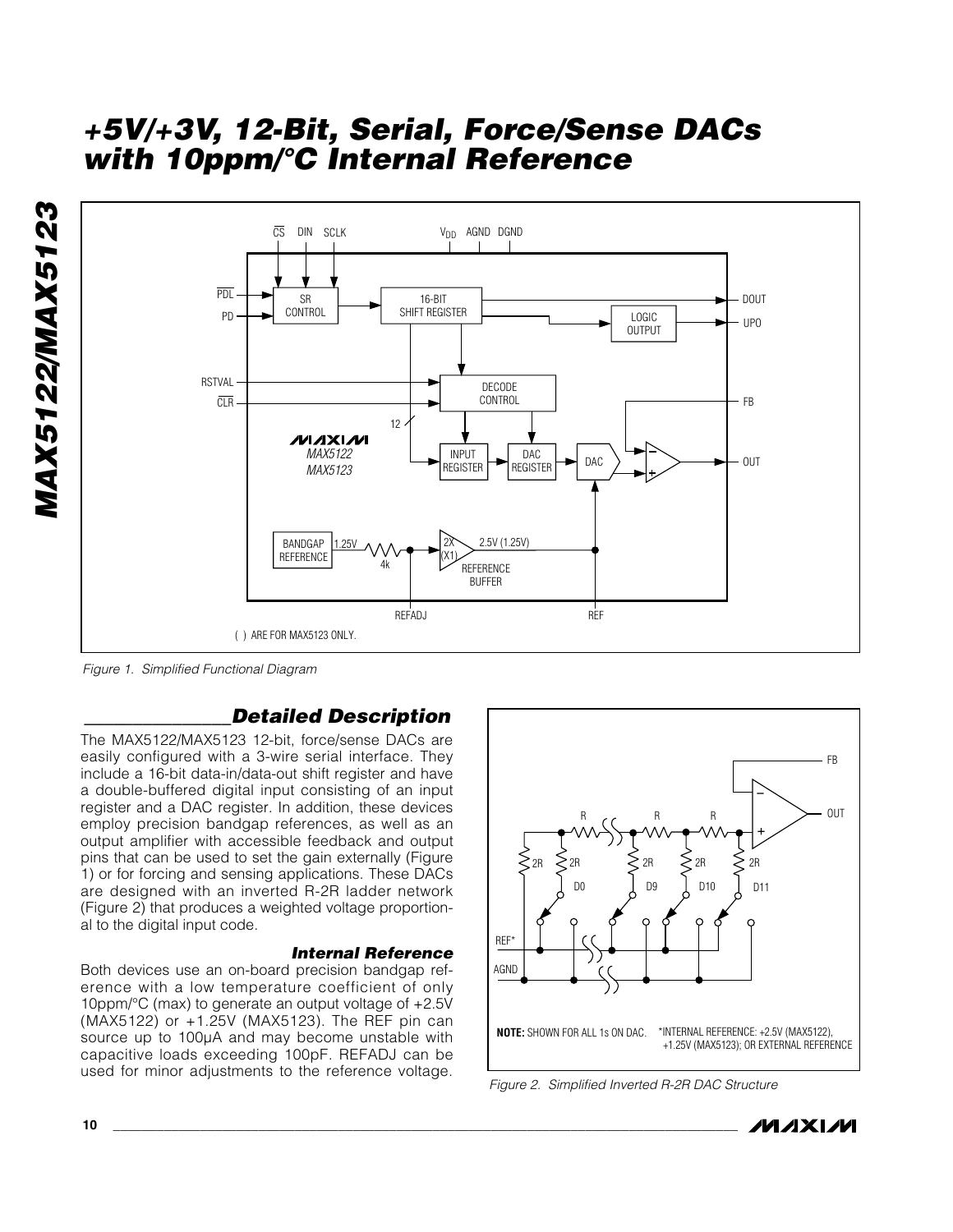

*Figure 1. Simplified Functional Diagram*

## *\_\_\_\_\_\_\_\_\_\_\_\_\_\_\_Detailed Description*

The MAX5122/MAX5123 12-bit, force/sense DACs are easily configured with a 3-wire serial interface. They include a 16-bit data-in/data-out shift register and have a double-buffered digital input consisting of an input register and a DAC register. In addition, these devices employ precision bandgap references, as well as an output amplifier with accessible feedback and output pins that can be used to set the gain externally (Figure 1) or for forcing and sensing applications. These DACs are designed with an inverted R-2R ladder network (Figure 2) that produces a weighted voltage proportional to the digital input code.

## *Internal Reference*

Both devices use an on-board precision bandgap reference with a low temperature coefficient of only 10ppm/°C (max) to generate an output voltage of +2.5V (MAX5122) or +1.25V (MAX5123). The REF pin can source up to 100µA and may become unstable with capacitive loads exceeding 100pF. REFADJ can be used for minor adjustments to the reference voltage.



*Figure 2. Simplified Inverted R-2R DAC Structure*

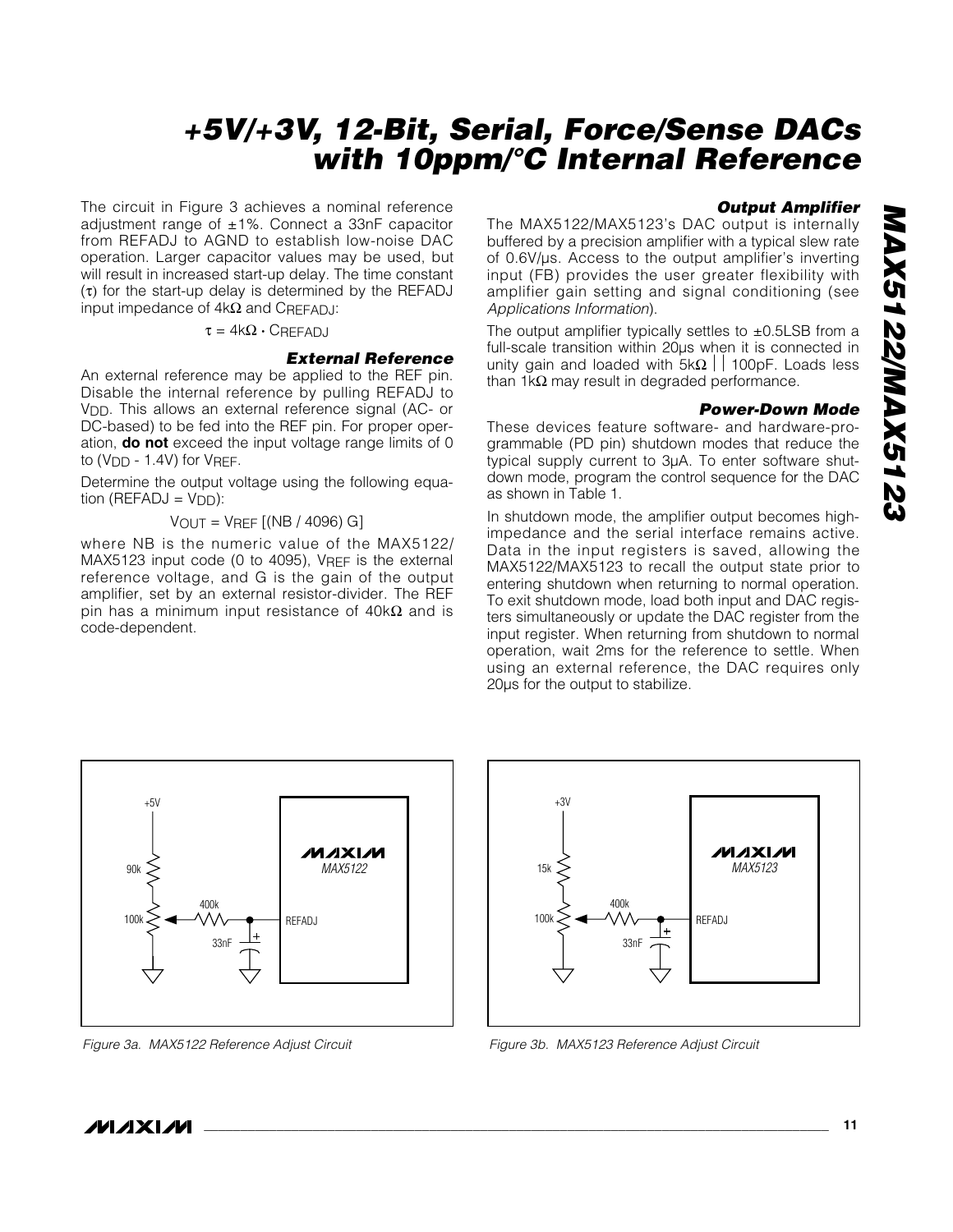The circuit in Figure 3 achieves a nominal reference adjustment range of ±1%. Connect a 33nF capacitor from REFADJ to AGND to establish low-noise DAC operation. Larger capacitor values may be used, but will result in increased start-up delay. The time constant (τ) for the start-up delay is determined by the REFADJ input impedance of 4kΩ and CREFADJ:

#### $\tau = 4k\Omega \cdot C$ REFADJ

#### *External Reference*

An external reference may be applied to the REF pin. Disable the internal reference by pulling REFADJ to V<sub>DD</sub>. This allows an external reference signal (AC- or DC-based) to be fed into the REF pin. For proper operation, **do not** exceed the input voltage range limits of 0 to  $(V_{DD} - 1.4V)$  for  $V_{REF}$ .

Determine the output voltage using the following equation ( $REFADJ = VDD$ ):

 $V_{OUT} = V_{REF}$  [(NB / 4096) G]

where NB is the numeric value of the MAX5122/ MAX5123 input code (0 to 4095), VREF is the external reference voltage, and G is the gain of the output amplifier, set by an external resistor-divider. The REF pin has a minimum input resistance of  $40<sup>k</sup>Ω$  and is code-dependent.

#### *Output Amplifier*

The MAX5122/MAX5123's DAC output is internally buffered by a precision amplifier with a typical slew rate of 0.6V/µs. Access to the output amplifier's inverting input (FB) provides the user greater flexibility with amplifier gain setting and signal conditioning (see *Applications Information*).

The output amplifier typically settles to  $\pm$ 0.5LSB from a full-scale transition within 20µs when it is connected in unity gain and loaded with  $5k\Omega$  | 100pF. Loads less than 1kΩ may result in degraded performance.

#### *Power-Down Mode*

These devices feature software- and hardware-programmable (PD pin) shutdown modes that reduce the typical supply current to 3µA. To enter software shutdown mode, program the control sequence for the DAC as shown in Table 1.

In shutdown mode, the amplifier output becomes highimpedance and the serial interface remains active. Data in the input registers is saved, allowing the MAX5122/MAX5123 to recall the output state prior to entering shutdown when returning to normal operation. To exit shutdown mode, load both input and DAC registers simultaneously or update the DAC register from the input register. When returning from shutdown to normal operation, wait 2ms for the reference to settle. When using an external reference, the DAC requires only 20µs for the output to stabilize.





*Figure 3a. MAX5122 Reference Adjust Circuit Figure 3b. MAX5123 Reference Adjust Circuit*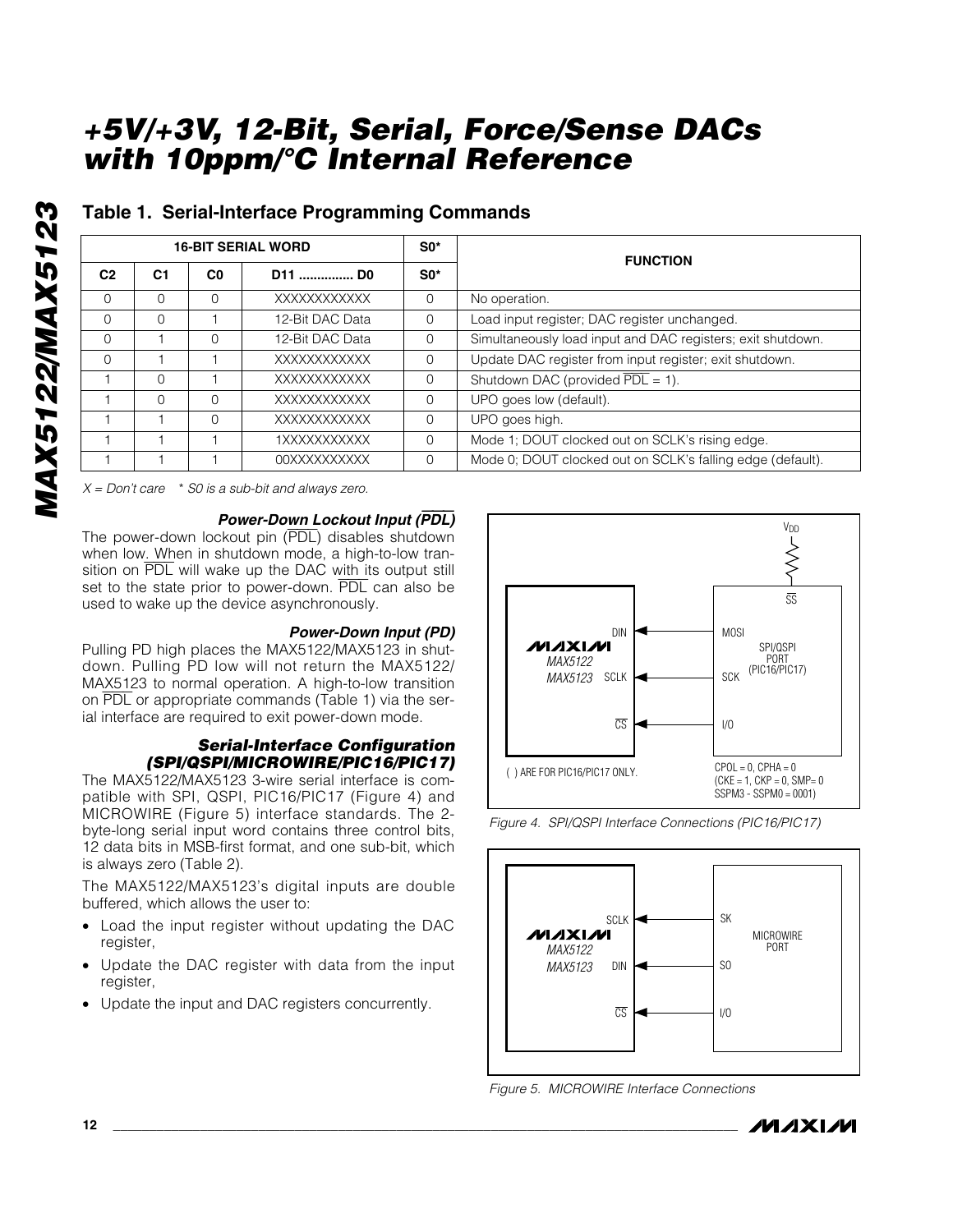## **Table 1. Serial-Interface Programming Commands**

|                | <b>16-BIT SERIAL WORD</b> |                |                                | $SO^*$   |                                                             |
|----------------|---------------------------|----------------|--------------------------------|----------|-------------------------------------------------------------|
| C <sub>2</sub> | C <sub>1</sub>            | C <sub>0</sub> | D <sub>11</sub> D <sub>0</sub> | $SO^*$   | <b>FUNCTION</b>                                             |
| $\Omega$       | O                         | $\Omega$       | XXXXXXXXXXXX                   | $\Omega$ | No operation.                                               |
| $\Omega$       | 0                         |                | 12-Bit DAC Data                | $\Omega$ | Load input register; DAC register unchanged.                |
| $\Omega$       |                           | $\Omega$       | 12-Bit DAC Data                | $\Omega$ | Simultaneously load input and DAC registers; exit shutdown. |
| $\Omega$       |                           |                | XXXXXXXXXXX                    | $\Omega$ | Update DAC register from input register; exit shutdown.     |
|                | 0                         |                | XXXXXXXXXXX                    | $\Omega$ | Shutdown DAC (provided $\overline{PDL} = 1$ ).              |
|                | 0                         | $\Omega$       | XXXXXXXXXXX                    | $\Omega$ | UPO goes low (default).                                     |
|                |                           | $\Omega$       | XXXXXXXXXXXX                   | $\Omega$ | UPO goes high.                                              |
|                |                           |                | 1XXXXXXXXXXX                   | $\Omega$ | Mode 1; DOUT clocked out on SCLK's rising edge.             |
|                |                           |                | <b>OOXXXXXXXXXX</b>            | $\Omega$ | Mode 0; DOUT clocked out on SCLK's falling edge (default).  |

*X = Don't care* \* *S0 is a sub-bit and always zero.*

#### *Power-Down Lockout Input (*PDL*)*

The power-down lockout pin (PDL) disables shutdown when low. When in shutdown mode, a high-to-low transition on PDL will wake up the DAC with its output still set to the state prior to power-down. PDL can also be used to wake up the device asynchronously.

#### *Power-Down Input (PD)*

Pulling PD high places the MAX5122/MAX5123 in shutdown. Pulling PD low will not return the MAX5122/ MAX5123 to normal operation. A high-to-low transition on PDL or appropriate commands (Table 1) via the serial interface are required to exit power-down mode.

## *Serial-Interface Configuration (SPI/QSPI/MICROWIRE/PIC16/PIC17)*

The MAX5122/MAX5123 3-wire serial interface is compatible with SPI, QSPI, PIC16/PIC17 (Figure 4) and MICROWIRE (Figure 5) interface standards. The 2 byte-long serial input word contains three control bits, 12 data bits in MSB-first format, and one sub-bit, which is always zero (Table 2).

The MAX5122/MAX5123's digital inputs are double buffered, which allows the user to:

- Load the input register without updating the DAC register,
- Update the DAC register with data from the input register,
- Update the input and DAC registers concurrently.



*Figure 4. SPI/QSPI Interface Connections (PIC16/PIC17)*



*Figure 5. MICROWIRE Interface Connections*

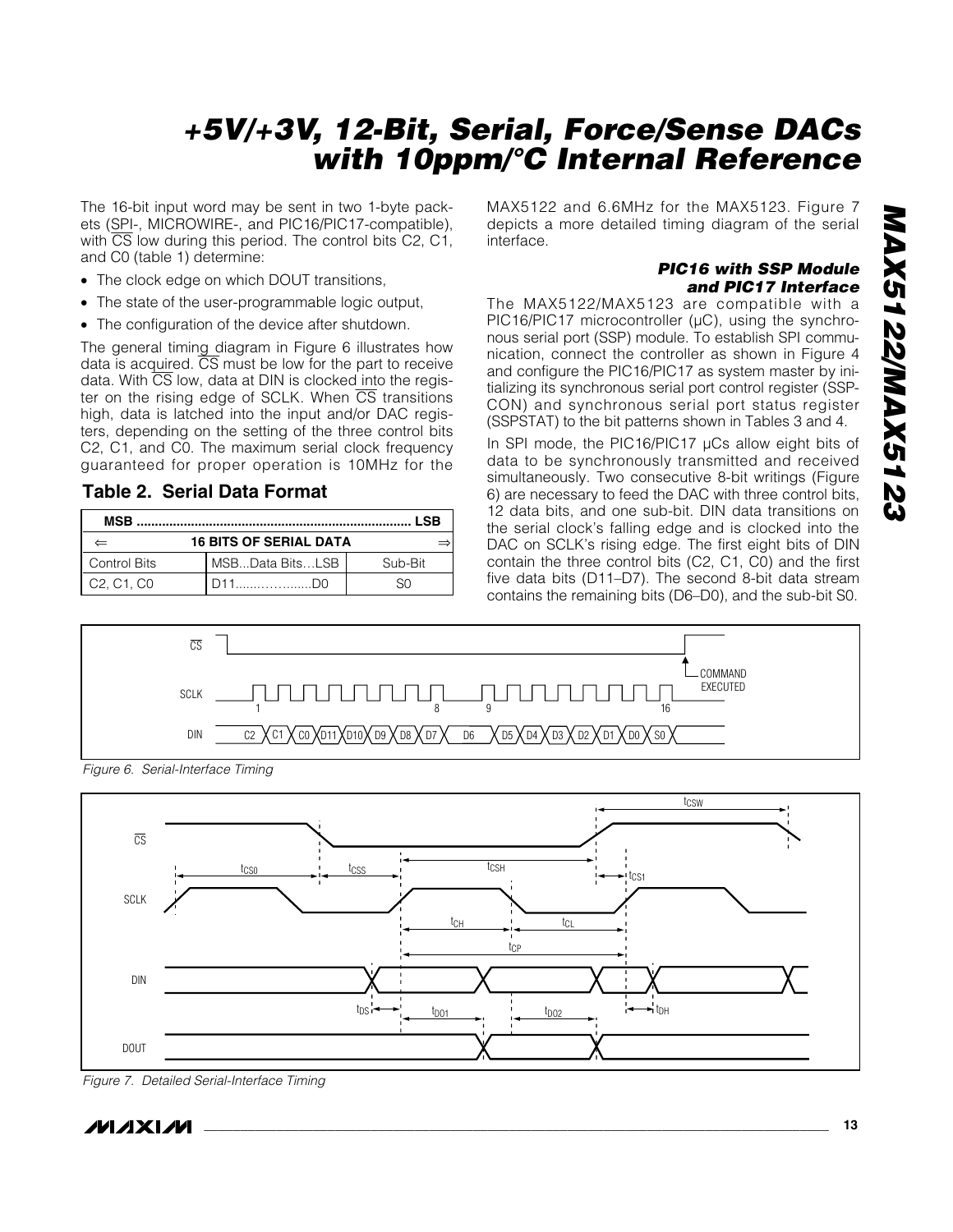The 16-bit input word may be sent in two 1-byte packets (SPI-, MICROWIRE-, and PIC16/PIC17-compatible), with  $\overline{\text{CS}}$  low during this period. The control bits C2, C1, and C0 (table 1) determine:

- The clock edge on which DOUT transitions,
- The state of the user-programmable logic output,
- The configuration of the device after shutdown.

The general timing diagram in Figure 6 illustrates how data is acquired.  $\overline{CS}$  must be low for the part to receive data. With  $\overline{CS}$  low, data at DIN is clocked into the register on the rising edge of SCLK. When CS transitions high, data is latched into the input and/or DAC registers, depending on the setting of the three control bits C2, C1, and C0. The maximum serial clock frequency guaranteed for proper operation is 10MHz for the

## **Table 2. Serial Data Format**

| MSB                                              |                 |         |  |
|--------------------------------------------------|-----------------|---------|--|
| <b>16 BITS OF SERIAL DATA</b><br>$\overline{}$   |                 |         |  |
| <b>Control Bits</b>                              | MSBData BitsLSB | Sub-Bit |  |
| C <sub>2</sub> . C <sub>1</sub> . C <sub>0</sub> |                 |         |  |

MAX5122 and 6.6MHz for the MAX5123. Figure 7 depicts a more detailed timing diagram of the serial interface.

## *PIC16 with SSP Module and PIC17 Interface*

The MAX5122/MAX5123 are compatible with a PIC16/PIC17 microcontroller  $(\mu C)$ , using the synchronous serial port (SSP) module. To establish SPI communication, connect the controller as shown in Figure 4 and configure the PIC16/PIC17 as system master by initializing its synchronous serial port control register (SSP-CON) and synchronous serial port status register (SSPSTAT) to the bit patterns shown in Tables 3 and 4.

In SPI mode, the PIC16/PIC17 µCs allow eight bits of data to be synchronously transmitted and received simultaneously. Two consecutive 8-bit writings (Figure 6) are necessary to feed the DAC with three control bits, 12 data bits, and one sub-bit. DIN data transitions on the serial clock's falling edge and is clocked into the DAC on SCLK's rising edge. The first eight bits of DIN contain the three control bits (C2, C1, C0) and the first five data bits (D11–D7). The second 8-bit data stream contains the remaining bits (D6–D0), and the sub-bit S0.



*Figure 6. Serial-Interface Timing*



*Figure 7. Detailed Serial-Interface Timing*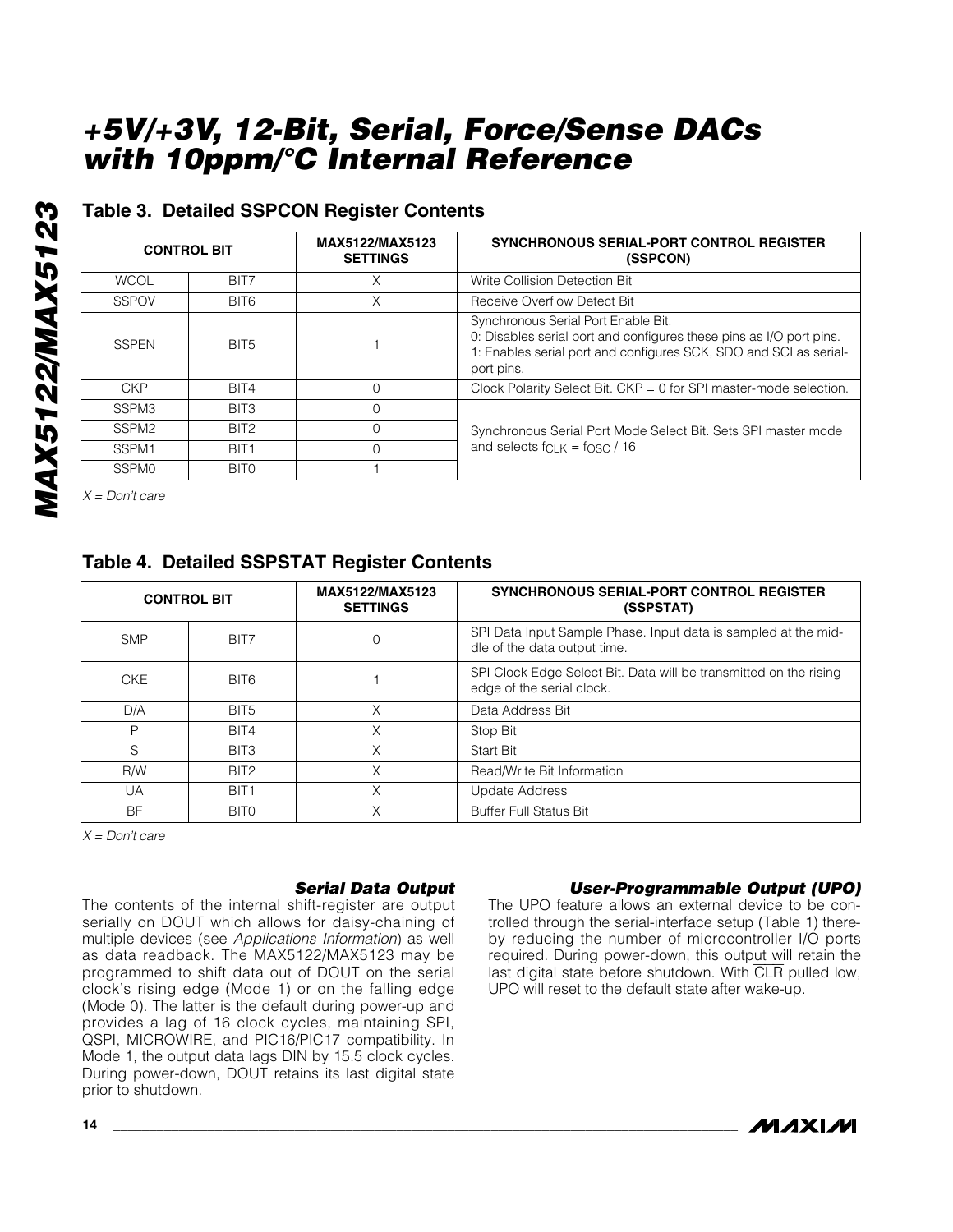## **Table 3. Detailed SSPCON Register Contents**

|                   | <b>CONTROL BIT</b> | MAX5122/MAX5123<br><b>SETTINGS</b> | <b>SYNCHRONOUS SERIAL-PORT CONTROL REGISTER</b><br>(SSPCON)                                                                                                                                   |
|-------------------|--------------------|------------------------------------|-----------------------------------------------------------------------------------------------------------------------------------------------------------------------------------------------|
| <b>WCOL</b>       | BIT7               | Χ                                  | Write Collision Detection Bit                                                                                                                                                                 |
| <b>SSPOV</b>      | BIT6               | Χ                                  | Receive Overflow Detect Bit                                                                                                                                                                   |
| <b>SSPEN</b>      | BIT <sub>5</sub>   |                                    | Synchronous Serial Port Enable Bit.<br>0. Disables serial port and configures these pins as I/O port pins.<br>1: Enables serial port and configures SCK, SDO and SCI as serial-<br>port pins. |
| <b>CKP</b>        | BIT4               | $\Omega$                           | Clock Polarity Select Bit. CKP = 0 for SPI master-mode selection.                                                                                                                             |
| SSPM3             | BIT3               | $\Omega$                           |                                                                                                                                                                                               |
| SSPM <sub>2</sub> | BIT <sub>2</sub>   | $\Omega$                           | Synchronous Serial Port Mode Select Bit. Sets SPI master mode                                                                                                                                 |
| SSPM1             | BIT <sub>1</sub>   | $\Omega$                           | and selects $f_{CIR} = f_{OSC} / 16$                                                                                                                                                          |
| <b>SSPMO</b>      | BIT <sub>0</sub>   |                                    |                                                                                                                                                                                               |

*X = Don't care*

## **Table 4. Detailed SSPSTAT Register Contents**

| <b>CONTROL BIT</b> |                  | MAX5122/MAX5123<br><b>SETTINGS</b> | <b>SYNCHRONOUS SERIAL-PORT CONTROL REGISTER</b><br>(SSPSTAT)                                   |
|--------------------|------------------|------------------------------------|------------------------------------------------------------------------------------------------|
| <b>SMP</b>         | BIT7             | 0                                  | SPI Data Input Sample Phase. Input data is sampled at the mid-<br>dle of the data output time. |
| <b>CKE</b>         | BIT <sub>6</sub> |                                    | SPI Clock Edge Select Bit. Data will be transmitted on the rising<br>edge of the serial clock. |
| D/A                | BIT <sub>5</sub> | Χ                                  | Data Address Bit                                                                               |
| P                  | BIT4             | Χ                                  | Stop Bit                                                                                       |
| S                  | BIT <sub>3</sub> | Χ                                  | Start Bit                                                                                      |
| <b>R/W</b>         | BIT <sub>2</sub> | X                                  | Read/Write Bit Information                                                                     |
| <b>UA</b>          | BIT <sub>1</sub> | X                                  | Update Address                                                                                 |
| <b>BF</b>          | BIT <sub>0</sub> | X                                  | <b>Buffer Full Status Bit</b>                                                                  |

*X = Don't care*

## *Serial Data Output*

The contents of the internal shift-register are output serially on DOUT which allows for daisy-chaining of multiple devices (see *Applications Information*) as well as data readback. The MAX5122/MAX5123 may be programmed to shift data out of DOUT on the serial clock's rising edge (Mode 1) or on the falling edge (Mode 0). The latter is the default during power-up and provides a lag of 16 clock cycles, maintaining SPI, QSPI, MICROWIRE, and PIC16/PIC17 compatibility. In Mode 1, the output data lags DIN by 15.5 clock cycles. During power-down, DOUT retains its last digital state prior to shutdown.

## *User-Programmable Output (UPO)*

The UPO feature allows an external device to be controlled through the serial-interface setup (Table 1) thereby reducing the number of microcontroller I/O ports required. During power-down, this output will retain the last digital state before shutdown. With  $\overline{CLR}$  pulled low, UPO will reset to the default state after wake-up.

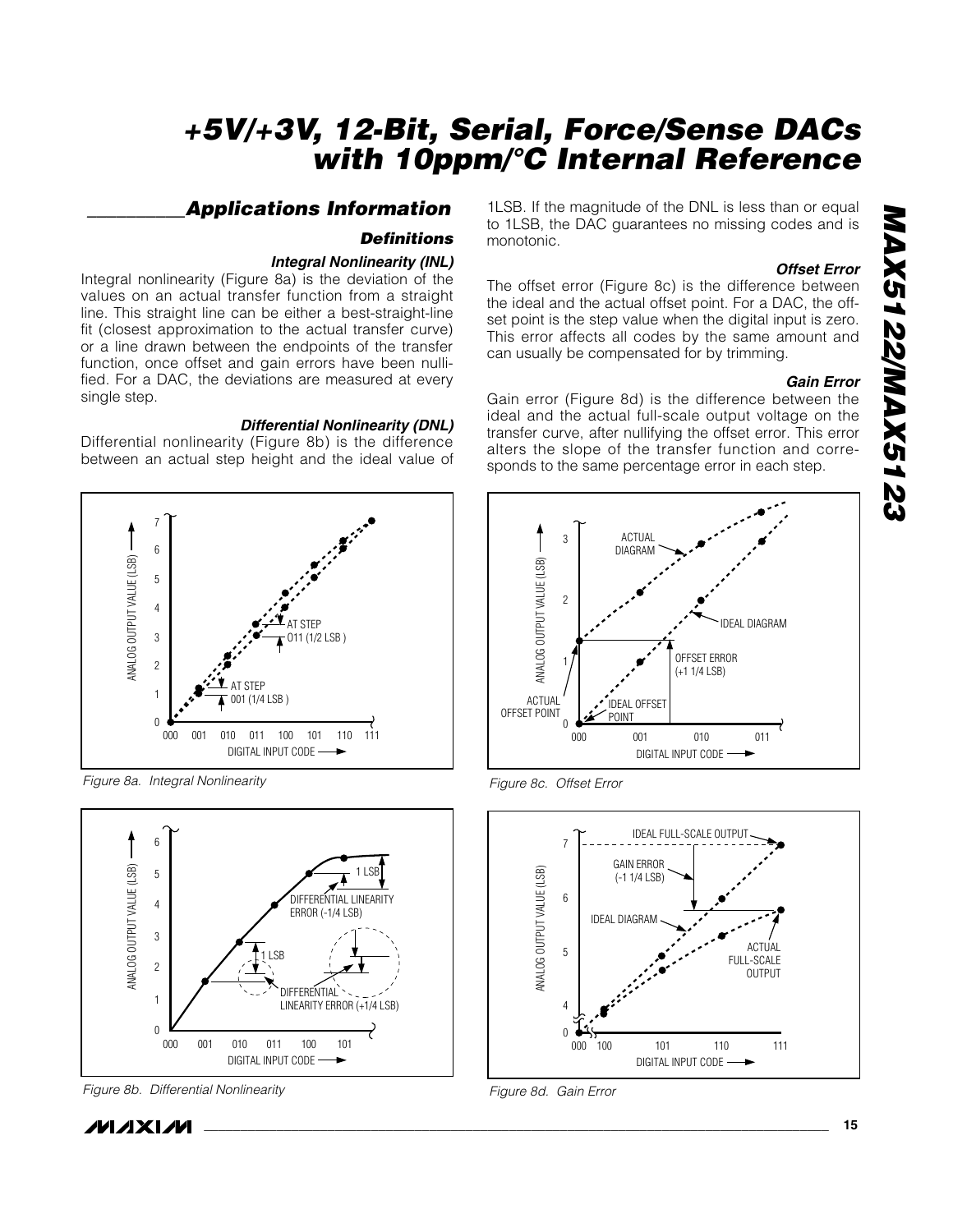## *\_\_\_\_\_\_\_\_\_\_Applications Information*

## *Definitions*

## *Integral Nonlinearity (INL)*

Integral nonlinearity (Figure 8a) is the deviation of the values on an actual transfer function from a straight line. This straight line can be either a best-straight-line fit (closest approximation to the actual transfer curve) or a line drawn between the endpoints of the transfer function, once offset and gain errors have been nullified. For a DAC, the deviations are measured at every single step.

## *Differential Nonlinearity (DNL)*

Differential nonlinearity (Figure 8b) is the difference between an actual step height and the ideal value of



*Figure 8a. Integral Nonlinearity*



*Figure 8b. Differential Nonlinearity*

/VI/IXI/VI

1LSB. If the magnitude of the DNL is less than or equal to 1LSB, the DAC guarantees no missing codes and is monotonic.

## *Offset Error*

The offset error (Figure 8c) is the difference between the ideal and the actual offset point. For a DAC, the offset point is the step value when the digital input is zero. This error affects all codes by the same amount and can usually be compensated for by trimming.

## *Gain Error*

Gain error (Figure 8d) is the difference between the ideal and the actual full-scale output voltage on the transfer curve, after nullifying the offset error. This error alters the slope of the transfer function and corresponds to the same percentage error in each step.







*Figure 8d. Gain Error*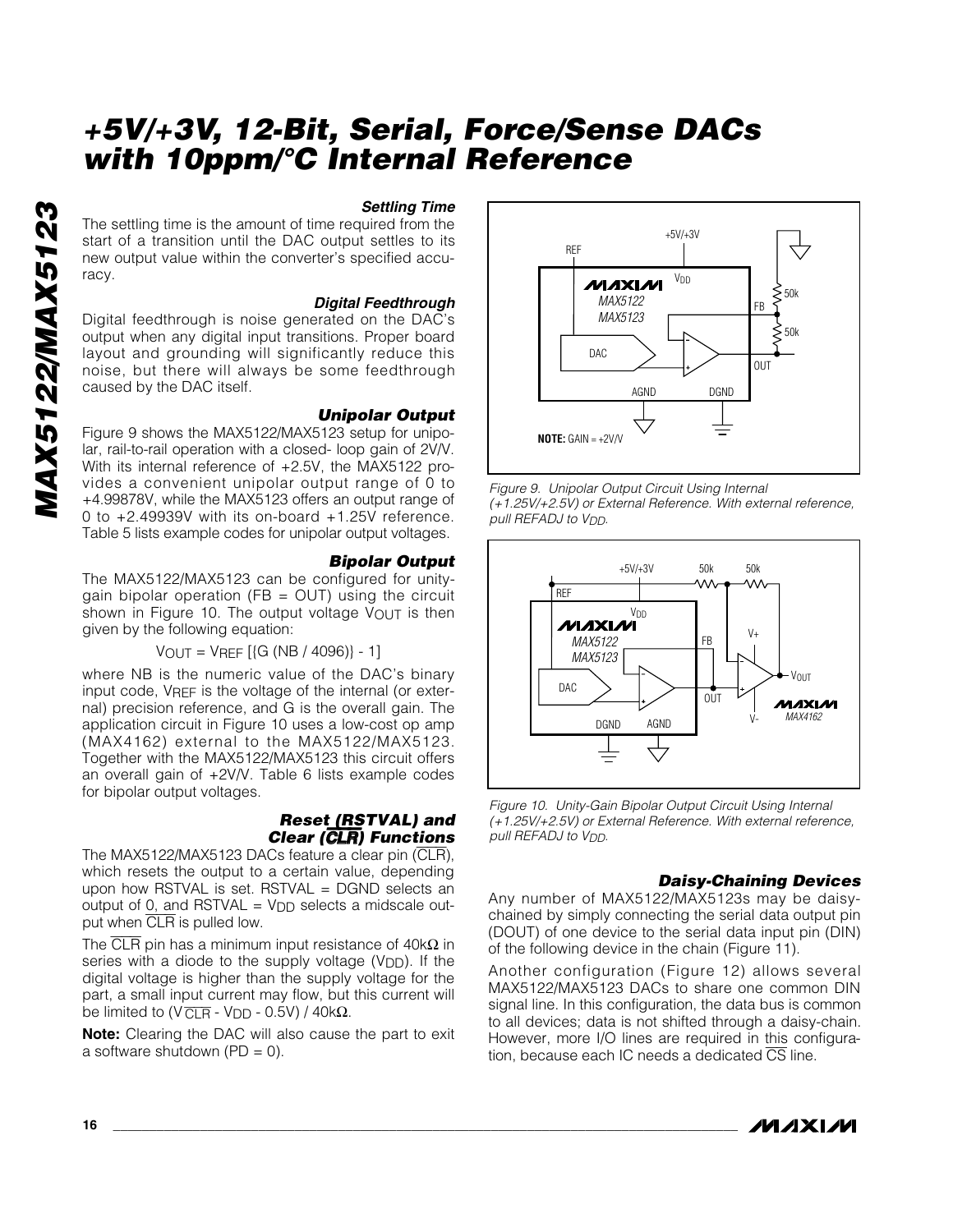#### *Settling Time*

The settling time is the amount of time required from the start of a transition until the DAC output settles to its new output value within the converter's specified accuracy.

#### *Digital Feedthrough*

Digital feedthrough is noise generated on the DAC's output when any digital input transitions. Proper board layout and grounding will significantly reduce this noise, but there will always be some feedthrough caused by the DAC itself.

#### *Unipolar Output*

Figure 9 shows the MAX5122/MAX5123 setup for unipolar, rail-to-rail operation with a closed- loop gain of 2V/V. With its internal reference of +2.5V, the MAX5122 provides a convenient unipolar output range of 0 to +4.99878V, while the MAX5123 offers an output range of 0 to +2.49939V with its on-board +1.25V reference. Table 5 lists example codes for unipolar output voltages.

#### *Bipolar Output*

The MAX5122/MAX5123 can be configured for unitygain bipolar operation (FB = OUT) using the circuit shown in Figure 10. The output voltage  $V_{\text{OUT}}$  is then given by the following equation:

#### $V_{\text{OUT}} = V_{\text{REF}}$  [{G (NB / 4096)} - 1]

where NB is the numeric value of the DAC's binary input code, VREF is the voltage of the internal (or external) precision reference, and G is the overall gain. The application circuit in Figure 10 uses a low-cost op amp (MAX4162) external to the MAX5122/MAX5123. Together with the MAX5122/MAX5123 this circuit offers an overall gain of +2V/V. Table 6 lists example codes for bipolar output voltages.

#### *Reset (RSTVAL) and Clear (*CLR*) Functions*

The MAX5122/MAX5123 DACs feature a clear pin (CLR), which resets the output to a certain value, depending upon how RSTVAL is set. RSTVAL = DGND selects an output of 0, and RSTVAL  $=$  V<sub>DD</sub> selects a midscale output when CLR is pulled low.

The  $\overline{\text{CLR}}$  pin has a minimum input resistance of 40k $\Omega$  in series with a diode to the supply voltage (V<sub>DD</sub>). If the digital voltage is higher than the supply voltage for the part, a small input current may flow, but this current will be limited to (V  $\overline{CLR}$  - V<sub>DD</sub> - 0.5V) / 40k $\Omega$ .

**Note:** Clearing the DAC will also cause the part to exit a software shutdown  $(PD = 0)$ .



*Figure 9. Unipolar Output Circuit Using Internal (+1.25V/+2.5V) or External Reference. With external reference, pull REFADJ to VDD.*



*Figure 10. Unity-Gain Bipolar Output Circuit Using Internal (+1.25V/+2.5V) or External Reference. With external reference, pull REFADJ to VDD.*

#### *Daisy-Chaining Devices*

Any number of MAX5122/MAX5123s may be daisychained by simply connecting the serial data output pin (DOUT) of one device to the serial data input pin (DIN) of the following device in the chain (Figure 11).

Another configuration (Figure 12) allows several MAX5122/MAX5123 DACs to share one common DIN signal line. In this configuration, the data bus is common to all devices; data is not shifted through a daisy-chain. However, more I/O lines are required in this configuration, because each IC needs a dedicated CS line.

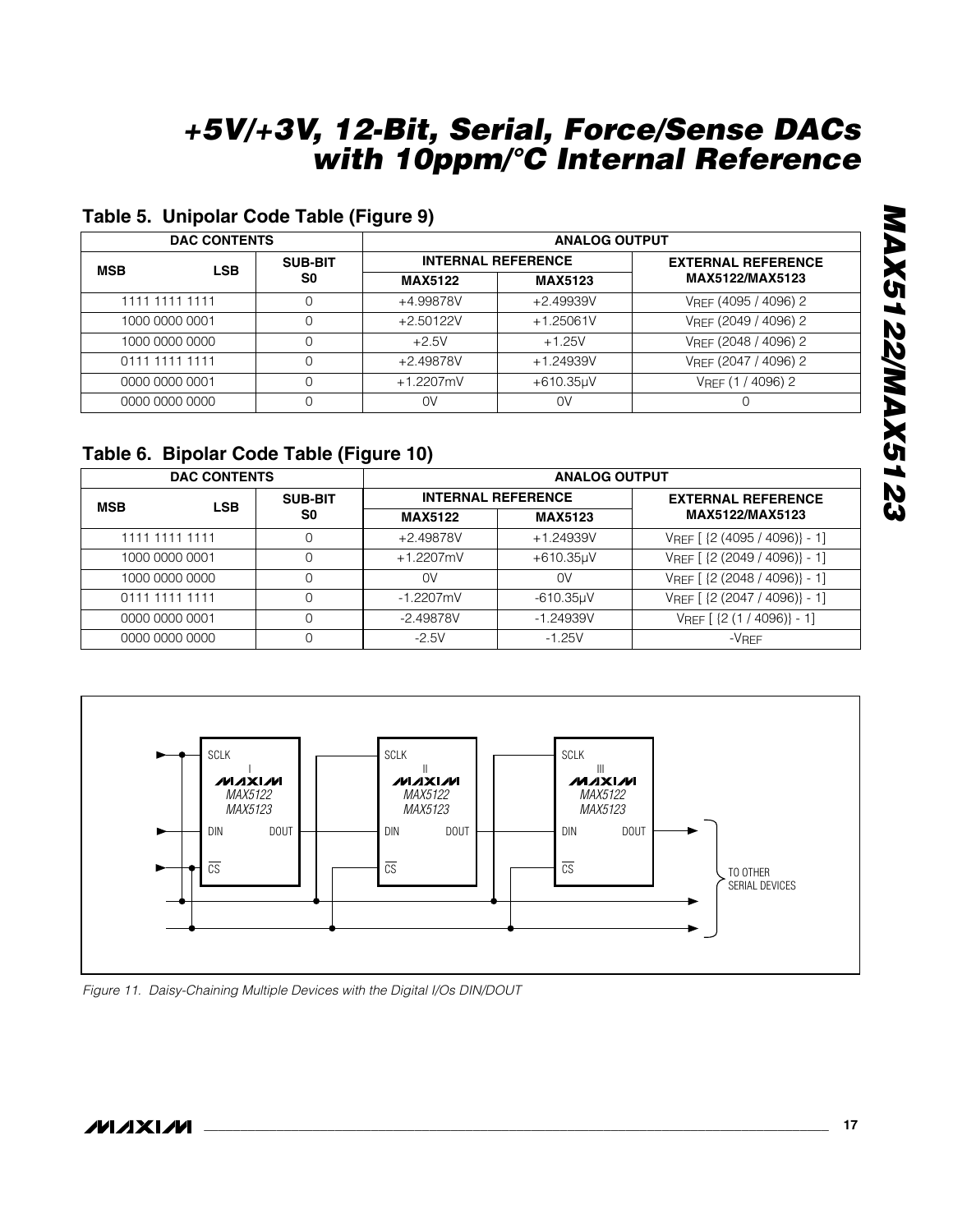| <b>DAC CONTENTS</b>      |                | <b>ANALOG OUTPUT</b>      |                |                           |
|--------------------------|----------------|---------------------------|----------------|---------------------------|
| <b>LSB</b><br><b>MSB</b> | <b>SUB-BIT</b> | <b>INTERNAL REFERENCE</b> |                | <b>EXTERNAL REFERENCE</b> |
|                          | S0             | <b>MAX5122</b>            | <b>MAX5123</b> | MAX5122/MAX5123           |
| 1111 1111 1111           | 0              | +4.99878V                 | +2.49939V      | VREF (4095 / 4096) 2      |
| 1000 0000 0001           |                | $+2.50122V$               | $+1.25061V$    | VREF (2049 / 4096) 2      |
| 1000 0000 0000           |                | $+2.5V$                   | $+1.25V$       | VREF (2048 / 4096) 2      |
| 0111 1111 1111           |                | +2.49878V                 | +1.24939V      | VREF (2047 / 4096) 2      |
| 0000 0000 0001           |                | $+1.2207$ mV              | $+610.35$ µV   | VREF (1 / 4096) 2         |
| 0000 0000 0000           |                | 0V                        | 0V             |                           |

## **Table 5. Unipolar Code Table (Figure 9)**

# **Table 6. Bipolar Code Table (Figure 10)**

| <b>DAC CONTENTS</b>      |                | <b>ANALOG OUTPUT</b>      |                 |                                 |
|--------------------------|----------------|---------------------------|-----------------|---------------------------------|
| <b>LSB</b><br><b>MSB</b> | <b>SUB-BIT</b> | <b>INTERNAL REFERENCE</b> |                 | <b>EXTERNAL REFERENCE</b>       |
|                          | S0             | <b>MAX5122</b>            | <b>MAX5123</b>  | MAX5122/MAX5123                 |
| 1111 1111 1111           | 0              | +2.49878V                 | $+1.24939V$     | VREF [ {2 (4095 / 4096)} - 1]   |
| 1000 0000 0001           | 0              | $+1.2207mV$               | $+610.35 \mu V$ | VREF [ {2 (2049 / 4096)} - 1]   |
| 1000 0000 0000           | 0              | 0V                        | 0V              | VREF [ {2 (2048 / 4096)} - 1]   |
| 0111 1111 1111           | 0              | $-1.2207$ mV              | $-610.35 \mu V$ | VREF [ {2 (2047 / 4096)} - 1]   |
| 0000 0000 0001           | 0              | $-2.49878V$               | $-1.24939V$     | $V_{REF}$ [ {2 (1 / 4096)} - 1] |
| 0000 0000 0000           | 0              | $-2.5V$                   | $-1.25V$        | $-V$ REF                        |



*Figure 11. Daisy-Chaining Multiple Devices with the Digital I/Os DIN/DOUT*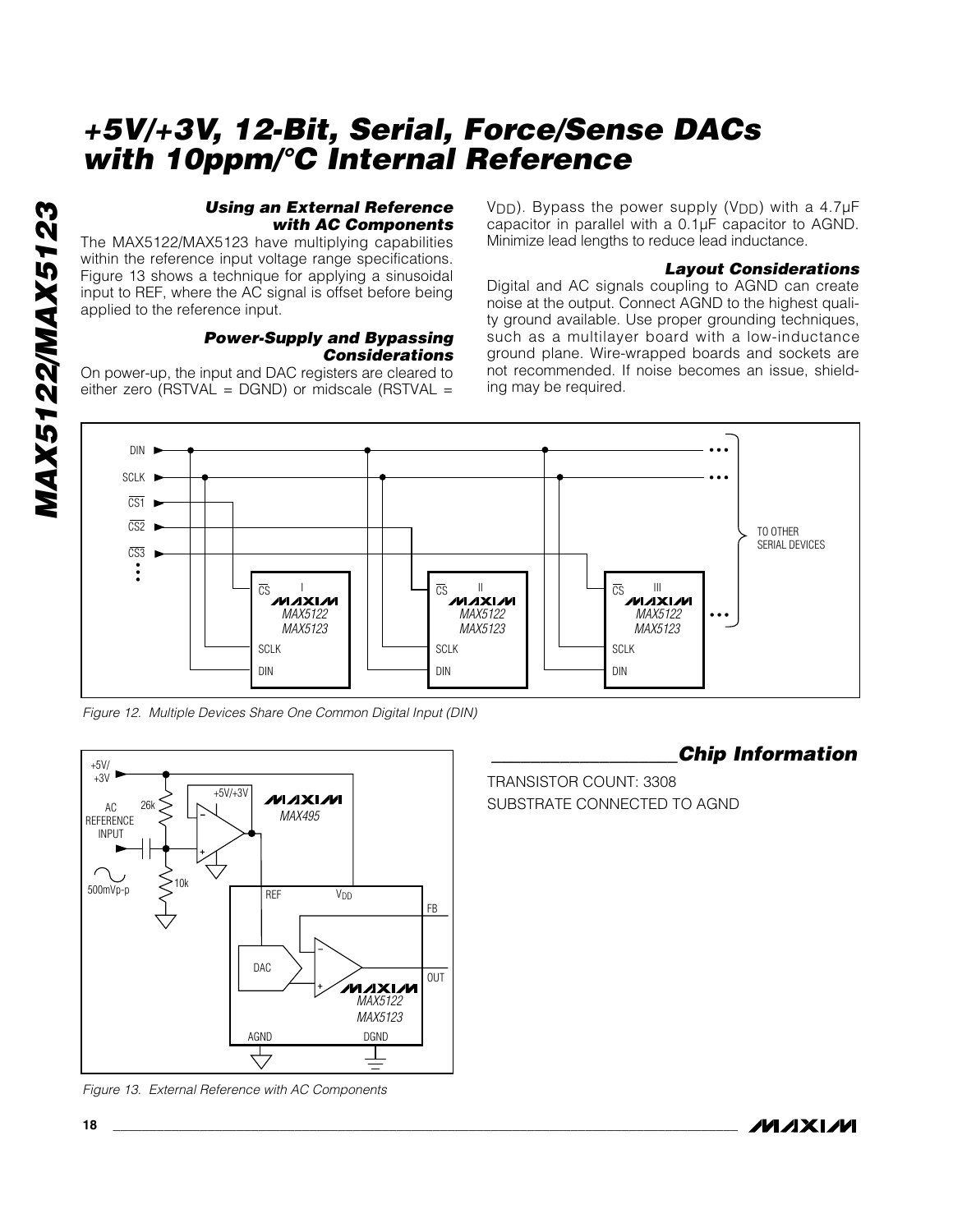#### *Using an External Reference with AC Components*

The MAX5122/MAX5123 have multiplying capabilities within the reference input voltage range specifications. Figure 13 shows a technique for applying a sinusoidal input to REF, where the AC signal is offset before being applied to the reference input.

## *Power-Supply and Bypassing Considerations*

On power-up, the input and DAC registers are cleared to either zero (RSTVAL =  $DGND$ ) or midscale (RSTVAL =

V<sub>DD</sub>). Bypass the power supply (V<sub>DD</sub>) with a 4.7µF capacitor in parallel with a 0.1µF capacitor to AGND. Minimize lead lengths to reduce lead inductance.

#### *Layout Considerations*

Digital and AC signals coupling to AGND can create noise at the output. Connect AGND to the highest quality ground available. Use proper grounding techniques, such as a multilayer board with a low-inductance ground plane. Wire-wrapped boards and sockets are not recommended. If noise becomes an issue, shielding may be required.



*Figure 12. Multiple Devices Share One Common Digital Input (DIN)*



*Figure 13. External Reference with AC Components*

## *\_\_\_\_\_\_\_\_\_\_\_\_\_\_\_\_\_\_\_Chip Information*

TRANSISTOR COUNT: 3308 SUBSTRATE CONNECTED TO AGND